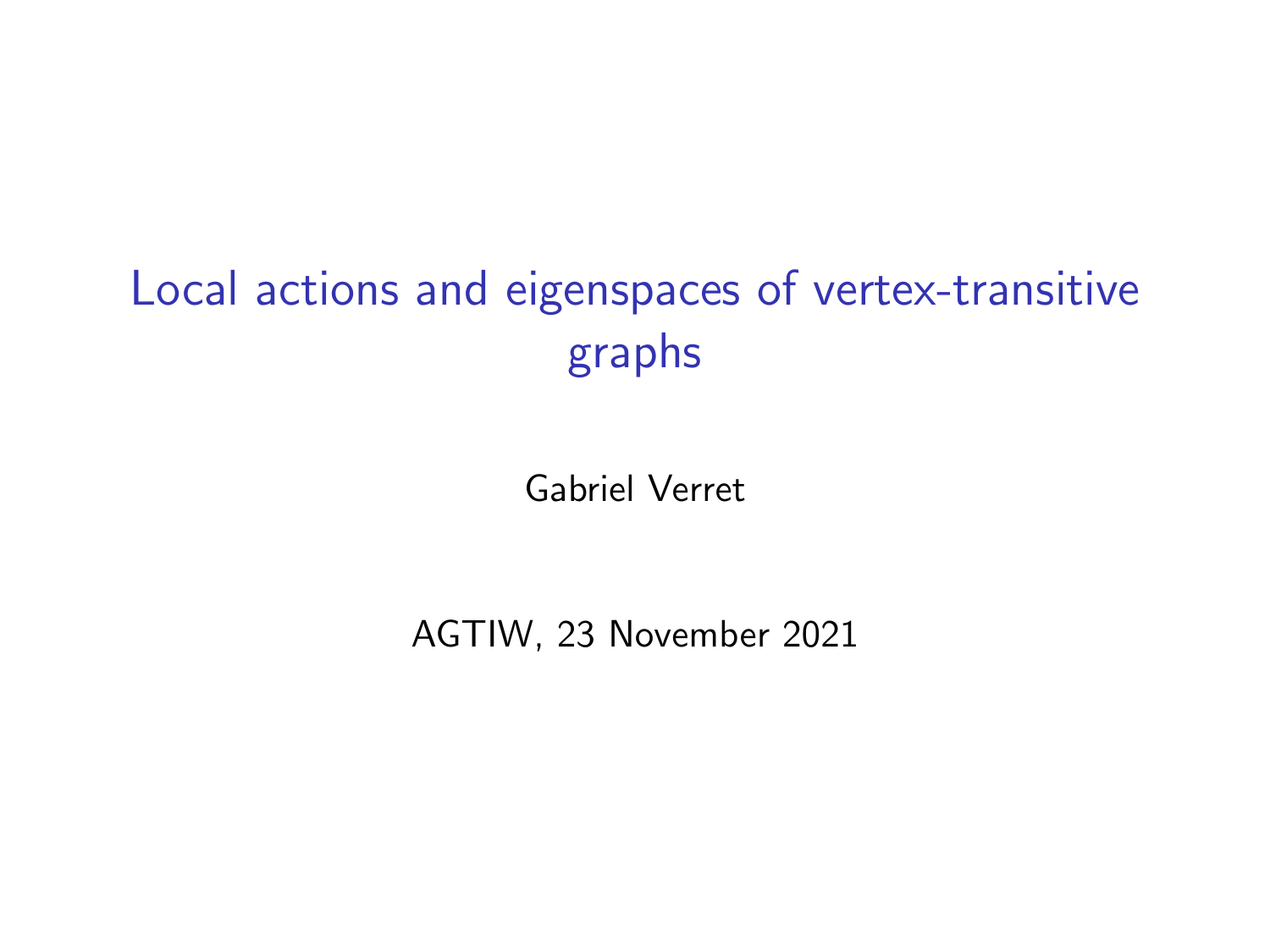# Local actions and eigenspaces of vertex-transitive graphs

Gabriel Verret

AGTIW, 23 November 2021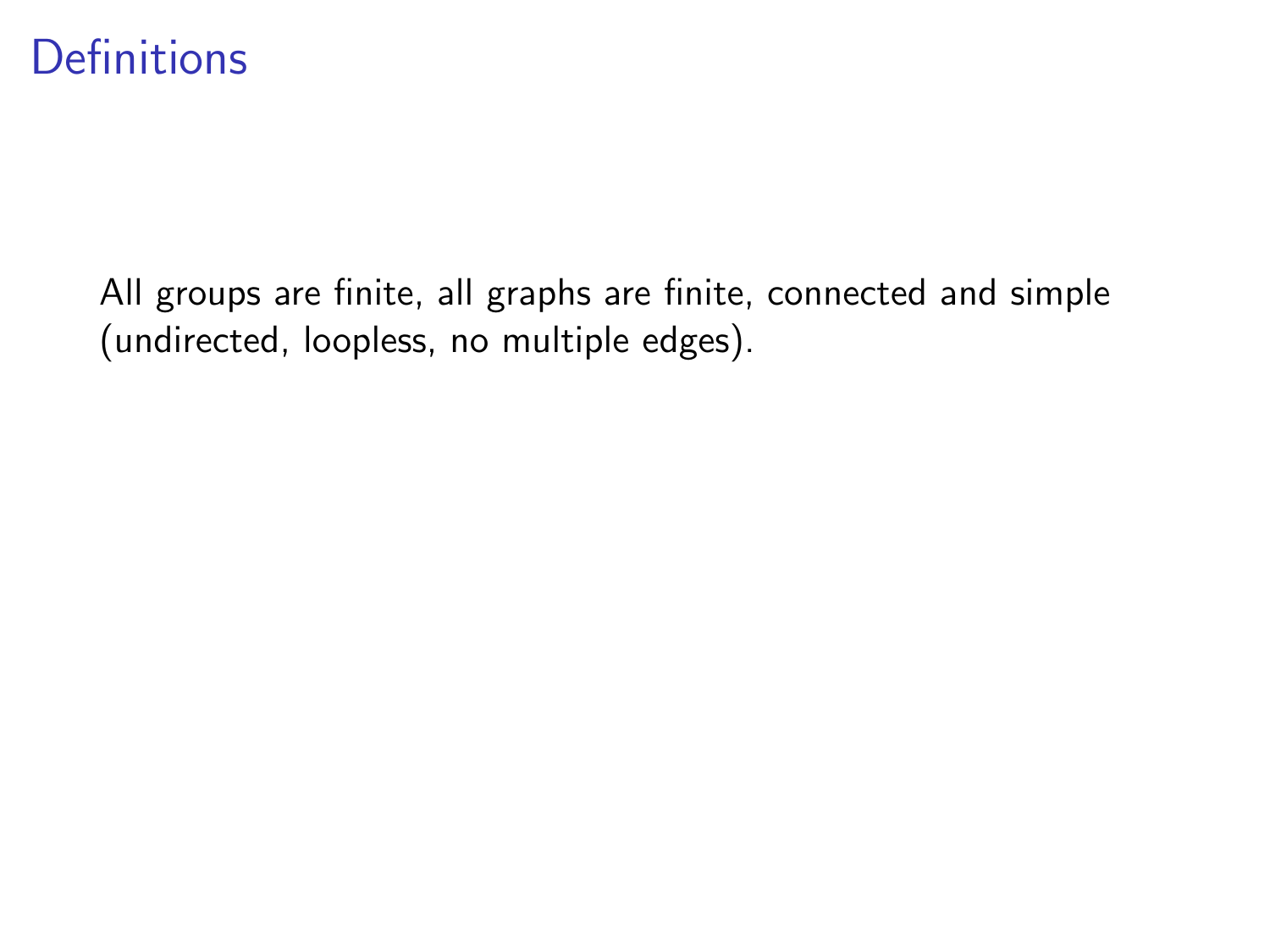### **Definitions**

All groups are finite, all graphs are finite, connected and simple (undirected, loopless, no multiple edges).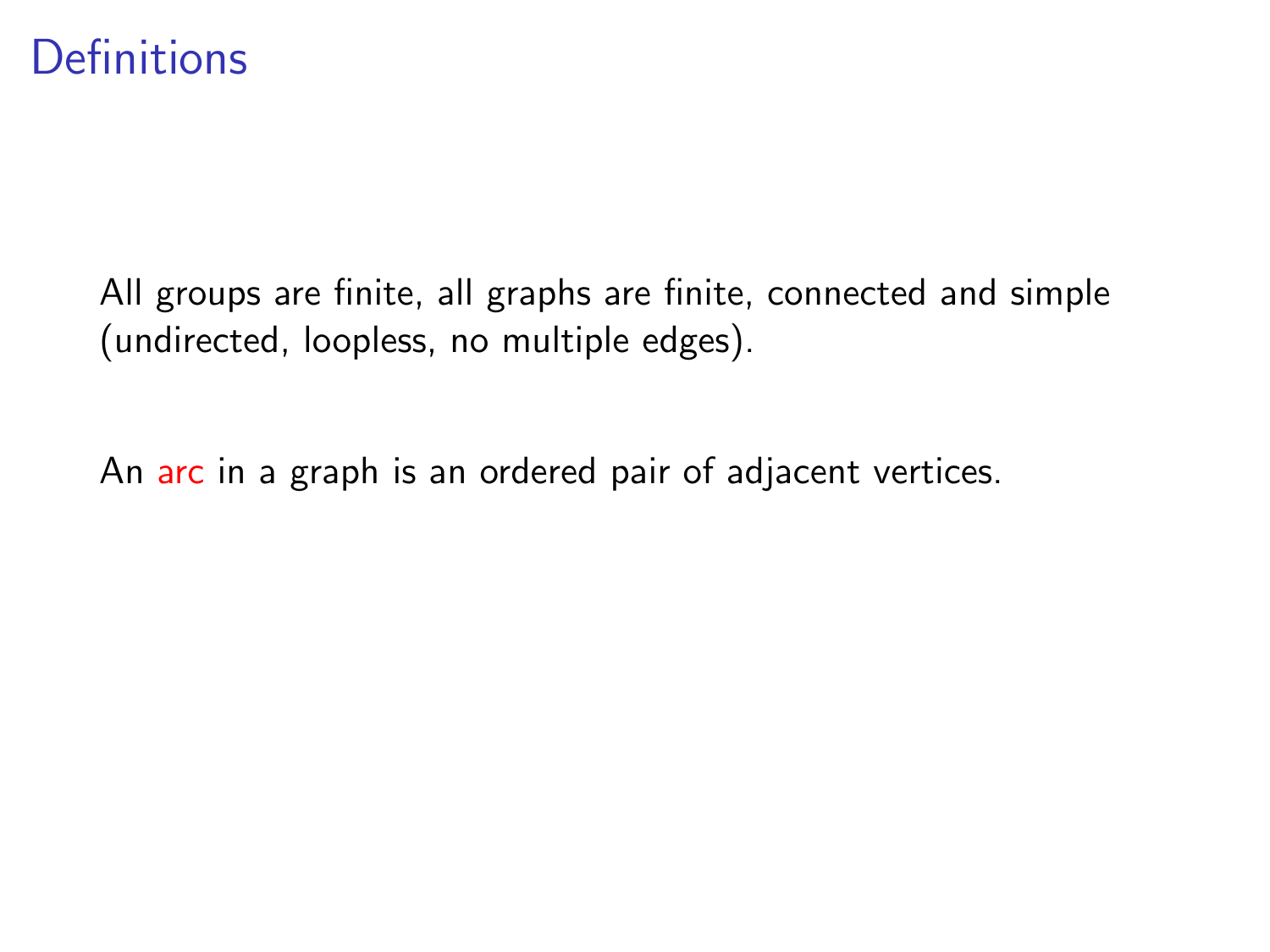### **Definitions**

All groups are finite, all graphs are finite, connected and simple (undirected, loopless, no multiple edges).

An arc in a graph is an ordered pair of adjacent vertices.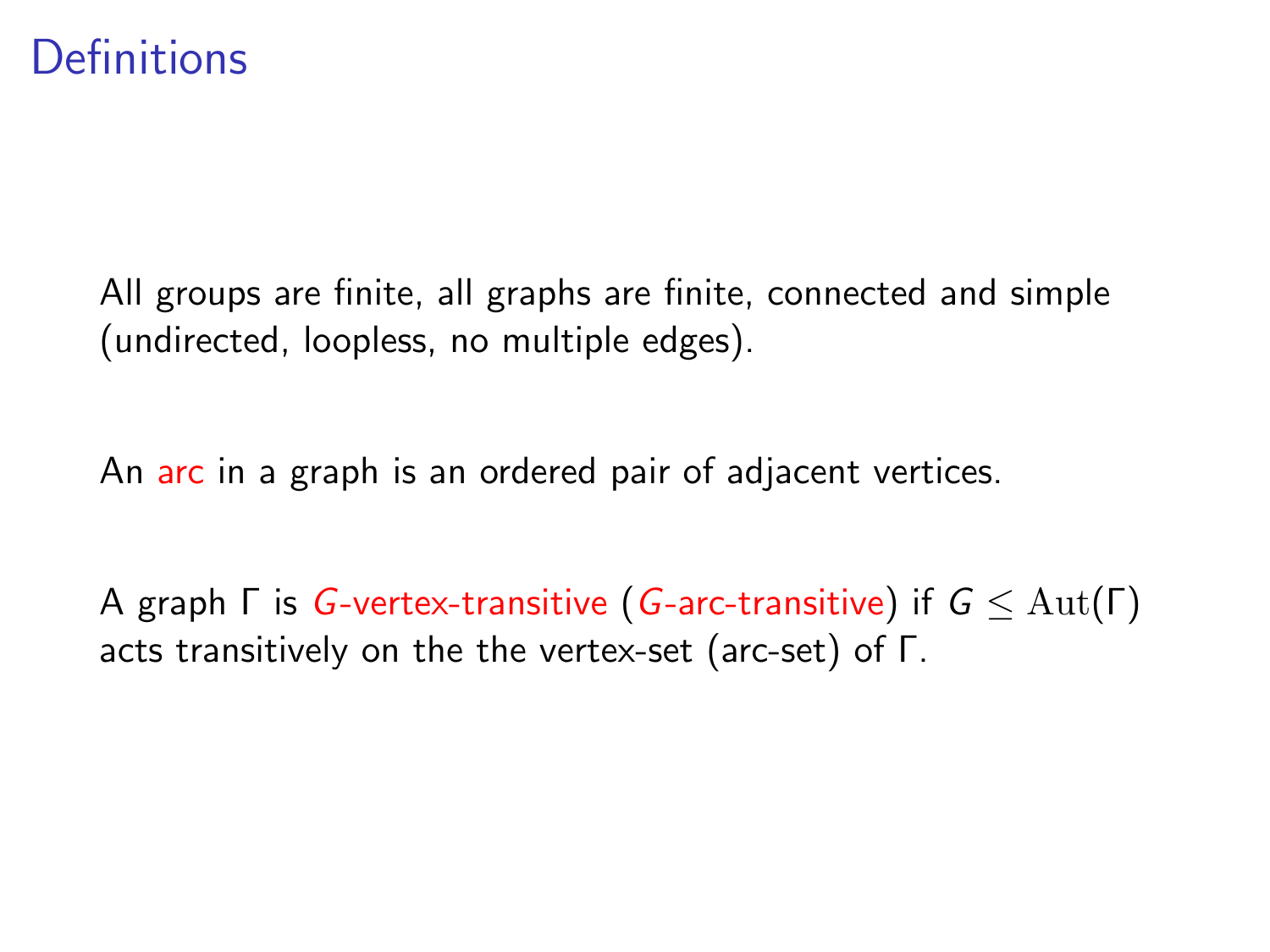### **Definitions**

All groups are finite, all graphs are finite, connected and simple (undirected, loopless, no multiple edges).

An arc in a graph is an ordered pair of adjacent vertices.

A graph  $\Gamma$  is G-vertex-transitive (G-arc-transitive) if  $G \leq \text{Aut}(\Gamma)$ acts transitively on the the vertex-set (arc-set) of Γ.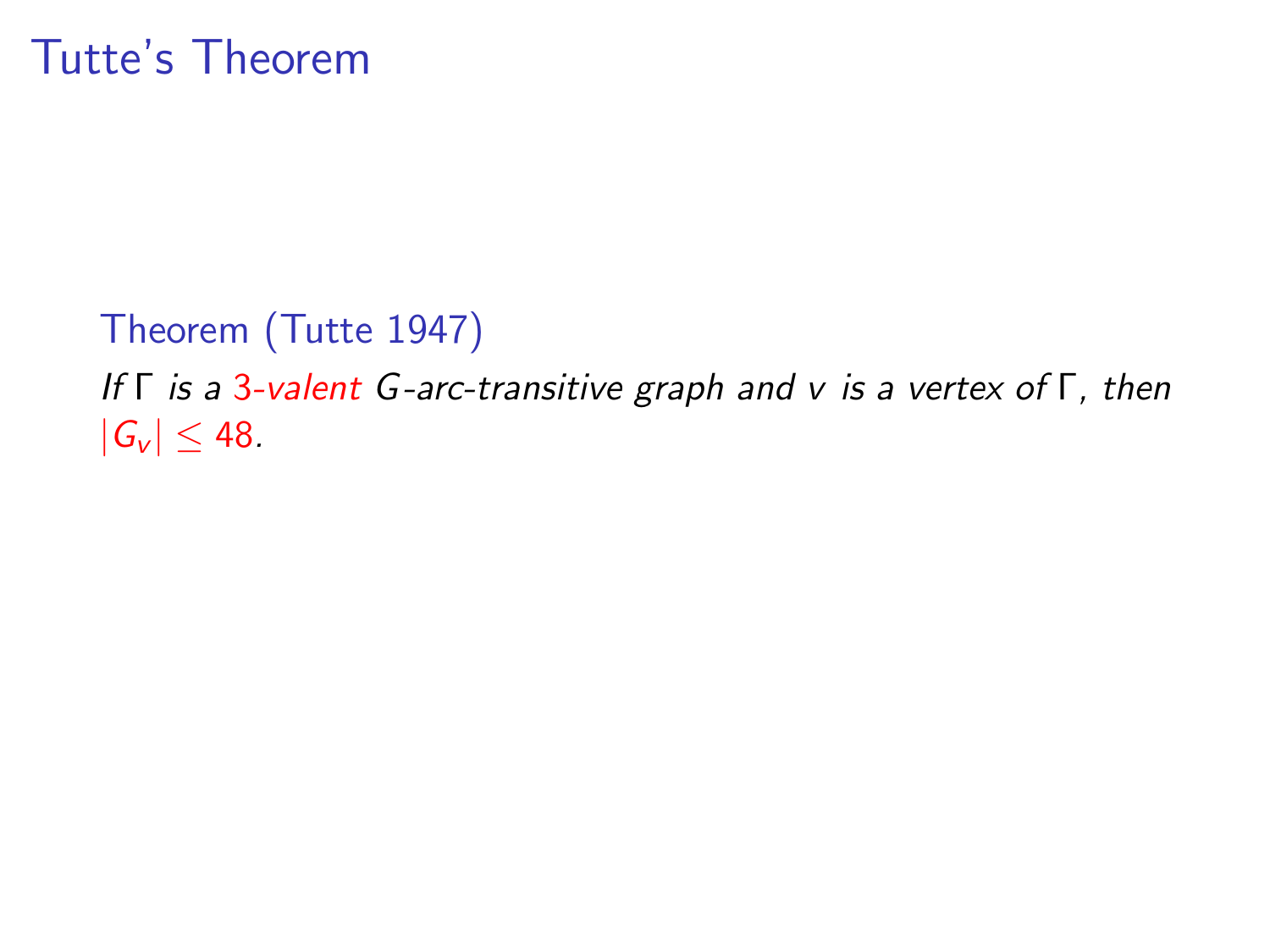## Tutte's Theorem

### Theorem (Tutte 1947)

If Γ is a 3-valent G-arc-transitive graph and v is a vertex of Γ, then  $|G_v| \leq 48$ .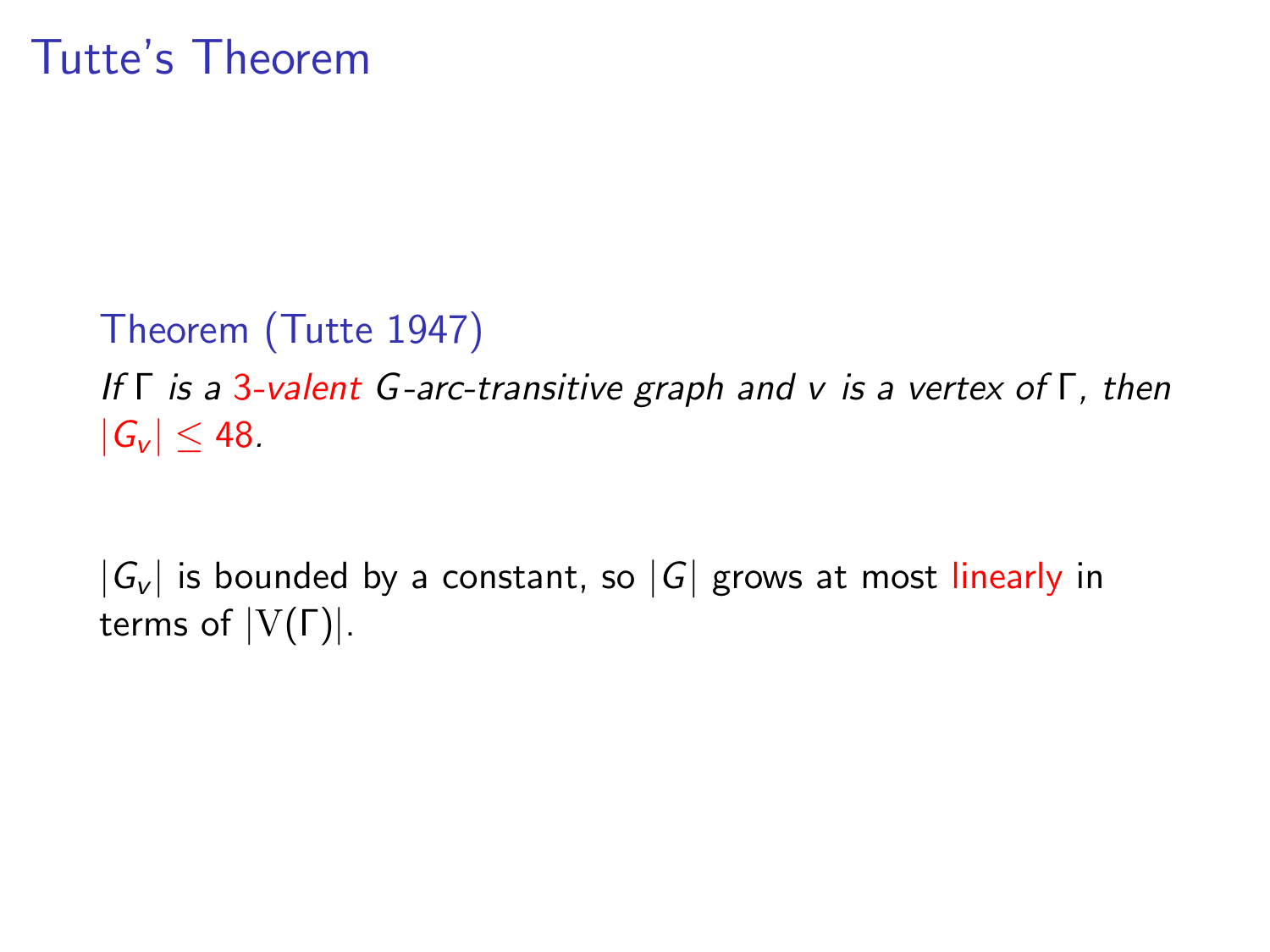## Tutte's Theorem

Theorem (Tutte 1947)

If Γ is a 3-valent G-arc-transitive graph and v is a vertex of Γ, then  $|G_v| \leq 48$ .

 $|G_{\nu}|$  is bounded by a constant, so  $|G|$  grows at most linearly in terms of  $|V(Γ)|$ .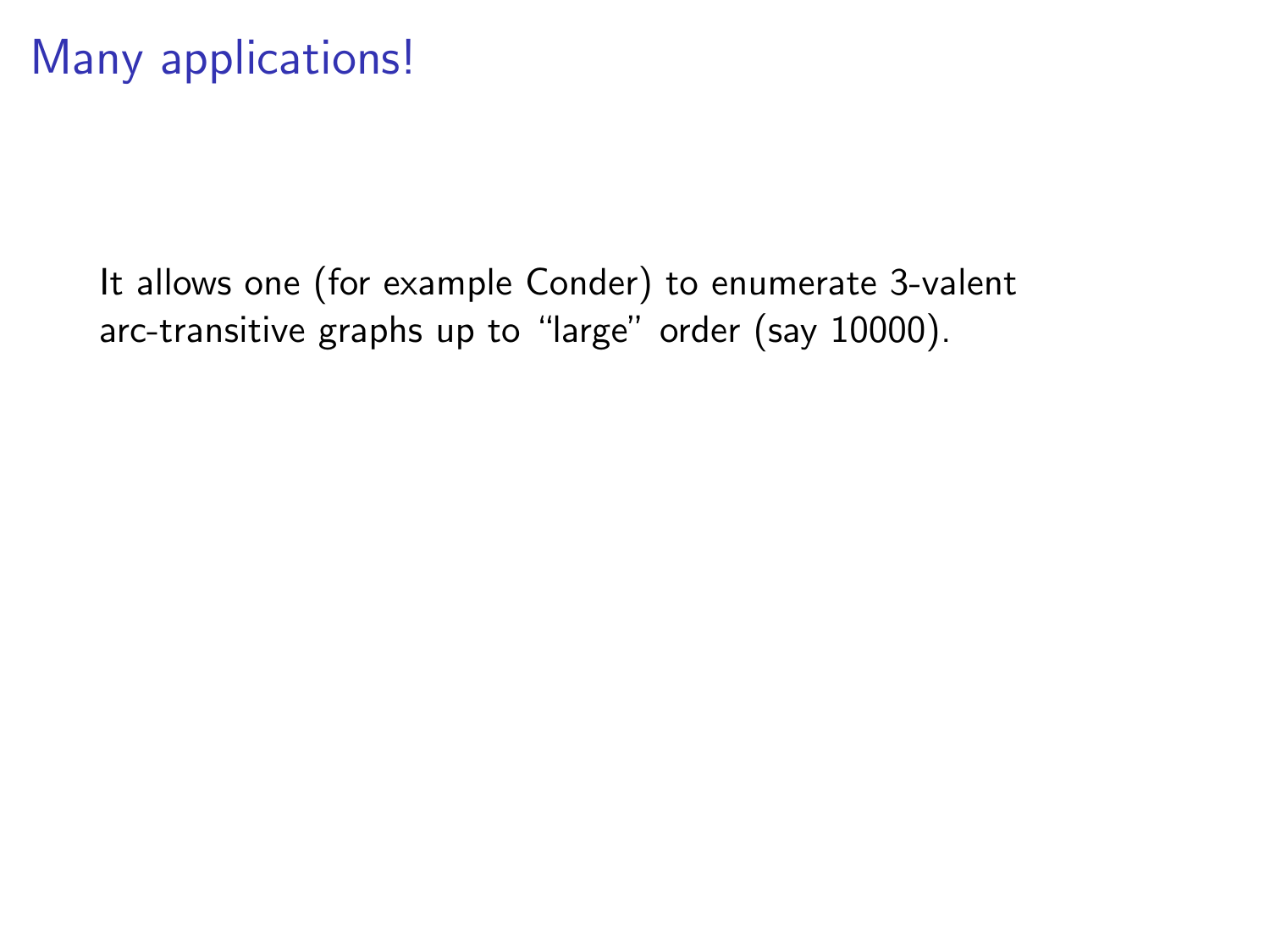It allows one (for example Conder) to enumerate 3-valent arc-transitive graphs up to "large" order (say 10000).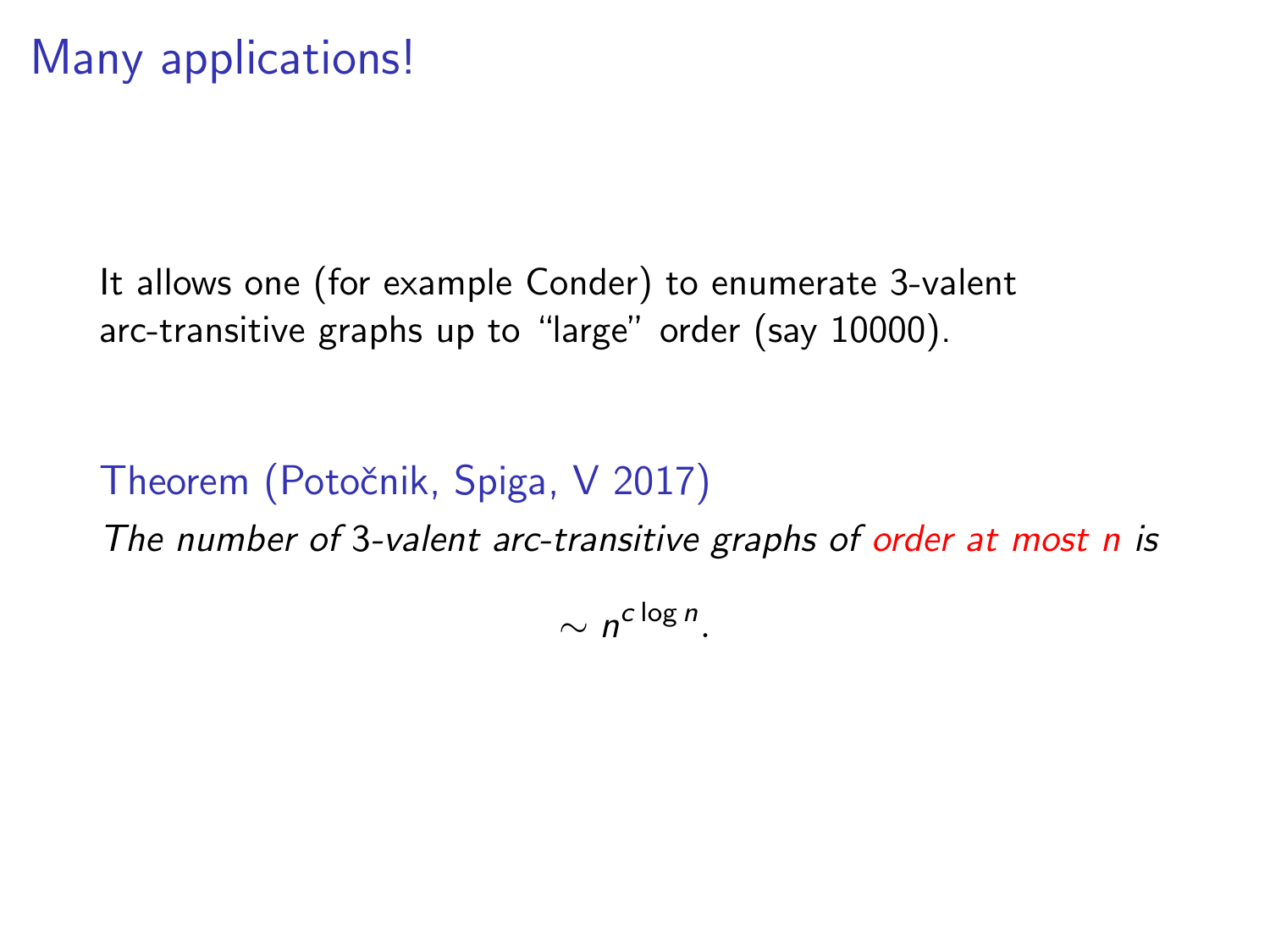It allows one (for example Conder) to enumerate 3-valent arc-transitive graphs up to "large" order (say 10000).

### Theorem (Potočnik, Spiga, V 2017)

The number of 3-valent arc-transitive graphs of order at most n is

 $\sim n^{c \log n}$ .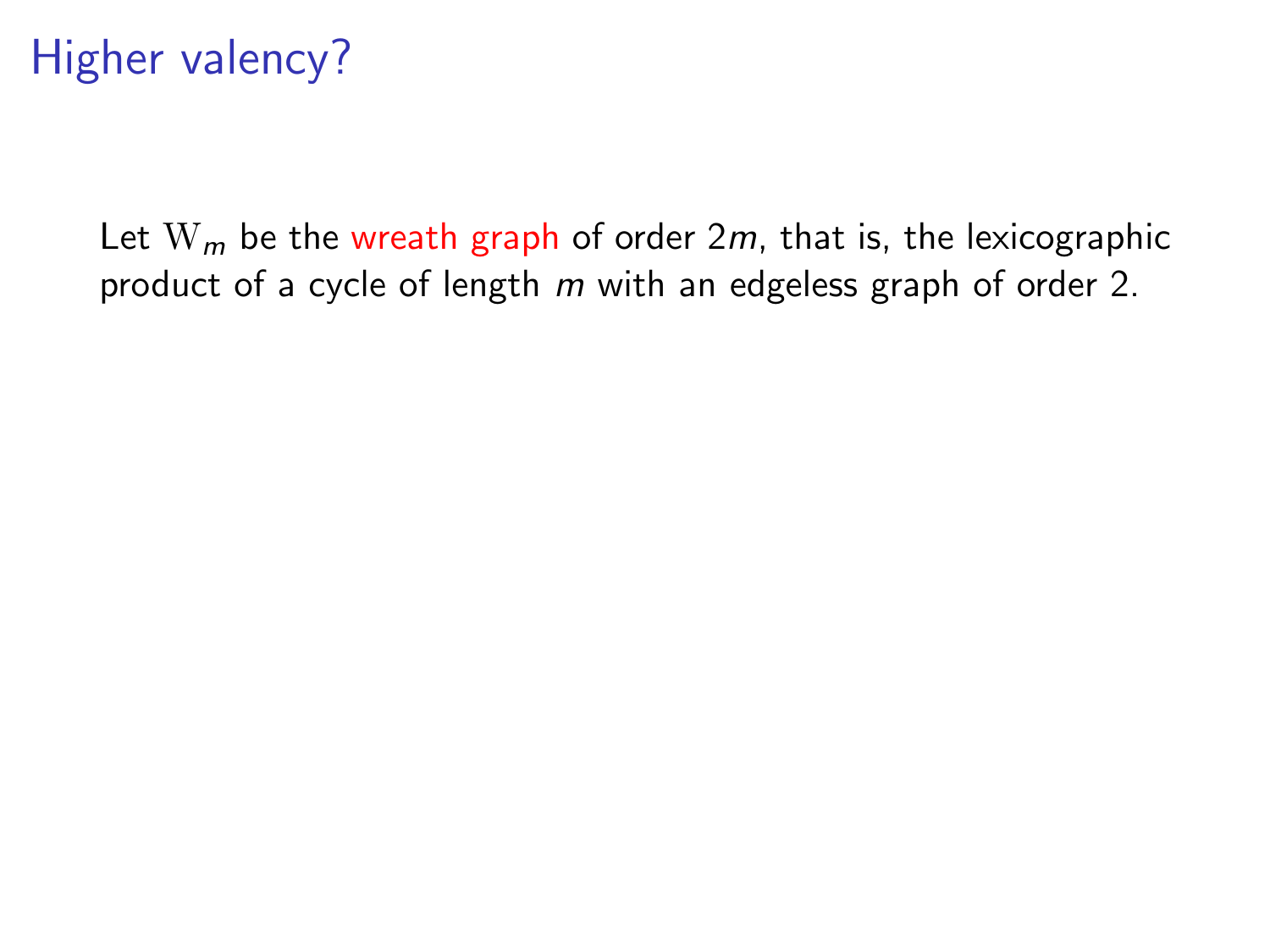Let  $W_m$  be the wreath graph of order 2m, that is, the lexicographic product of a cycle of length m with an edgeless graph of order 2.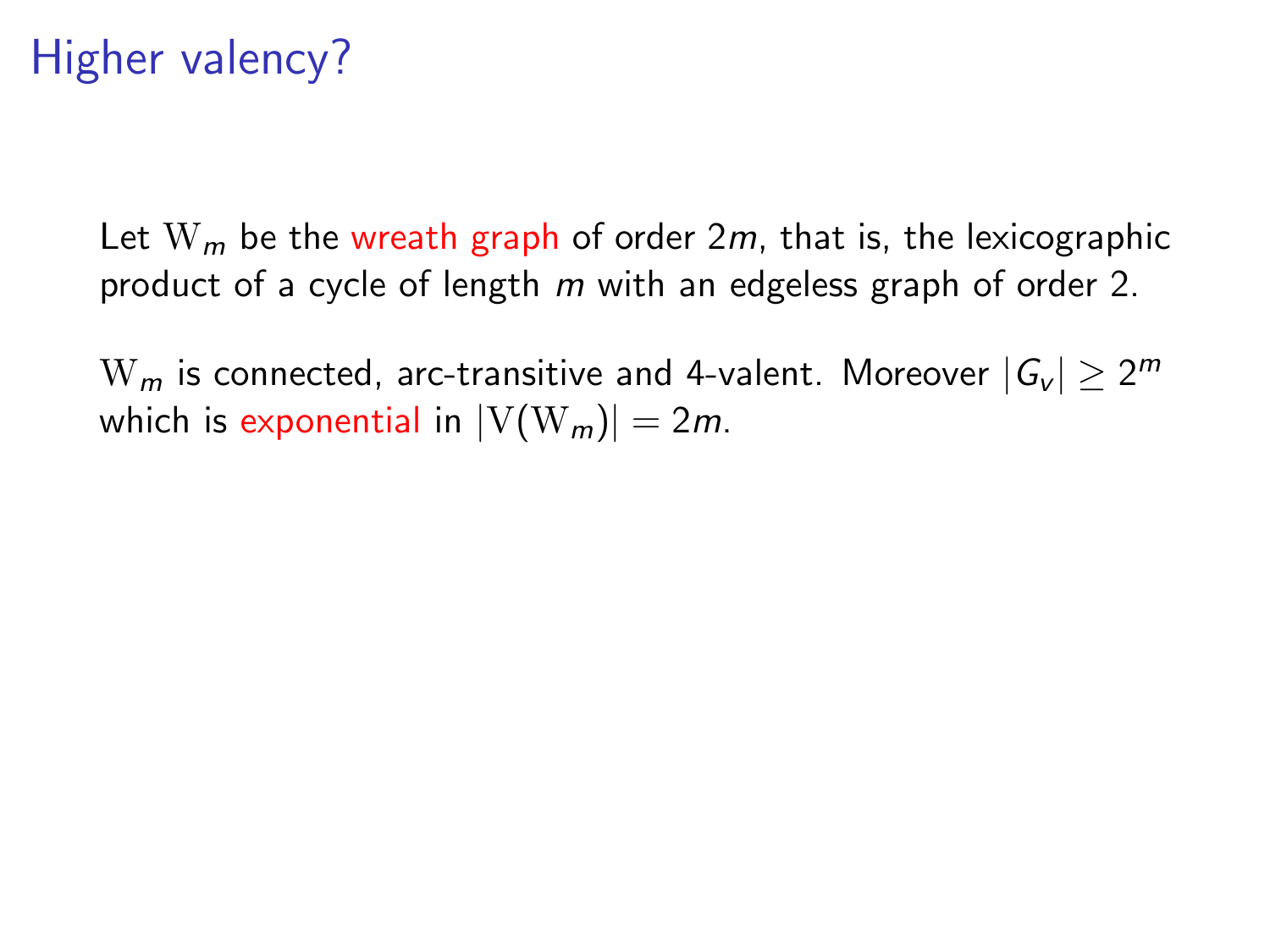Let  $W_m$  be the wreath graph of order 2m, that is, the lexicographic product of a cycle of length m with an edgeless graph of order 2.

 $\mathrm{W}_{m}$  is connected, arc-transitive and 4-valent. Moreover  $|\mathcal{G}_{\mathsf{v}}| \geq 2^{m}$ which is exponential in  $|V(W_m)| = 2m$ .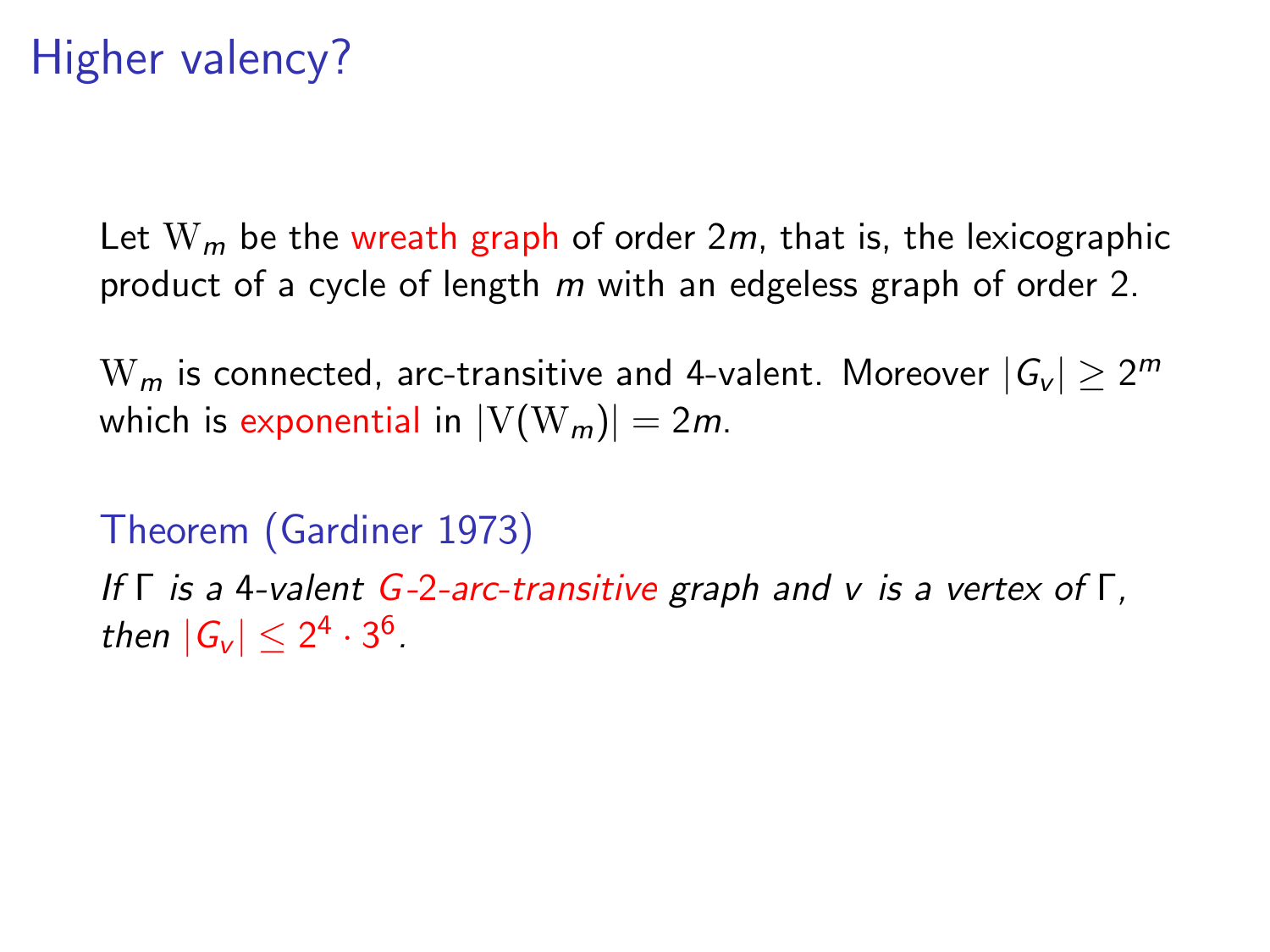Let  $W_m$  be the wreath graph of order 2m, that is, the lexicographic product of a cycle of length m with an edgeless graph of order 2.

 $\mathrm{W}_{m}$  is connected, arc-transitive and 4-valent. Moreover  $|\mathcal{G}_{\mathsf{v}}| \geq 2^{m}$ which is exponential in  $|V(W_m)| = 2m$ .

Theorem (Gardiner 1973) If  $\Gamma$  is a 4-valent G-2-arc-transitive graph and v is a vertex of  $\Gamma$ , then  $|G_v| \leq 2^4 \cdot 3^6$ .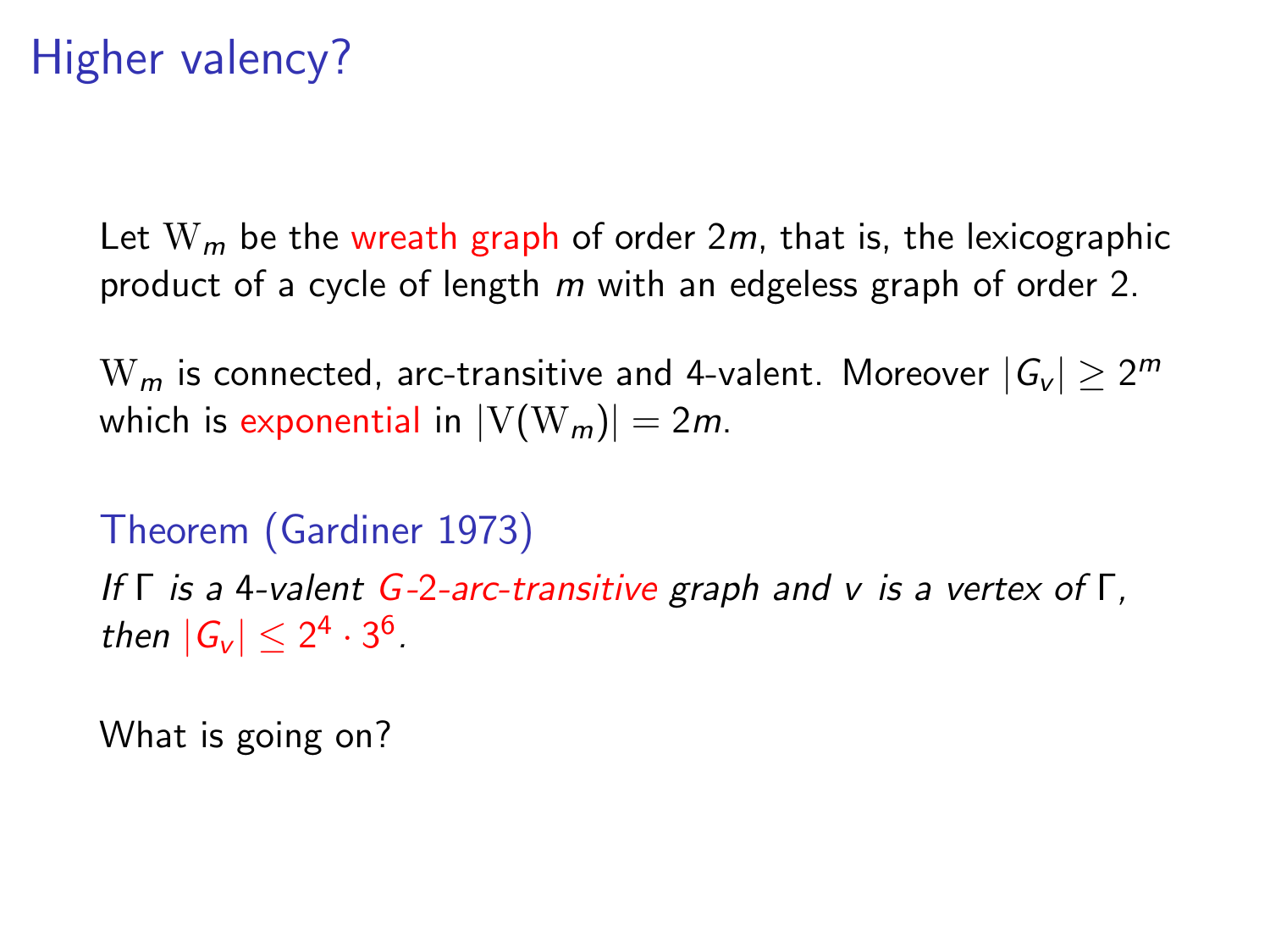Let  $W_m$  be the wreath graph of order 2m, that is, the lexicographic product of a cycle of length m with an edgeless graph of order 2.

 $\mathrm{W}_{m}$  is connected, arc-transitive and 4-valent. Moreover  $|\mathcal{G}_{\mathsf{v}}| \geq 2^{m}$ which is exponential in  $|V(W_m)| = 2m$ .

Theorem (Gardiner 1973) If Γ is a 4-valent G-2-arc-transitive graph and v is a vertex of Γ, then  $|G_v| \leq 2^4 \cdot 3^6$ .

What is going on?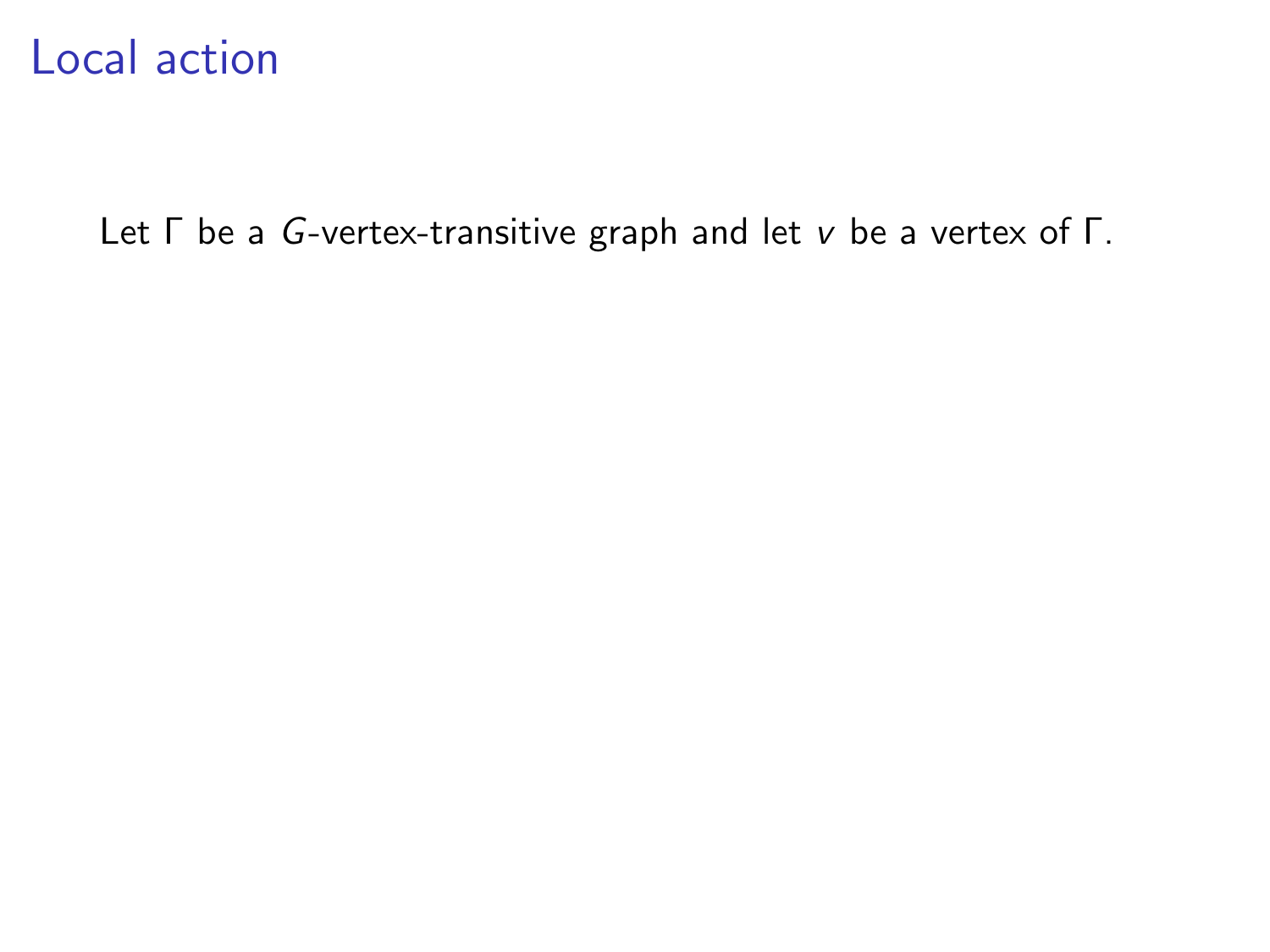Let Γ be a G-vertex-transitive graph and let v be a vertex of Γ.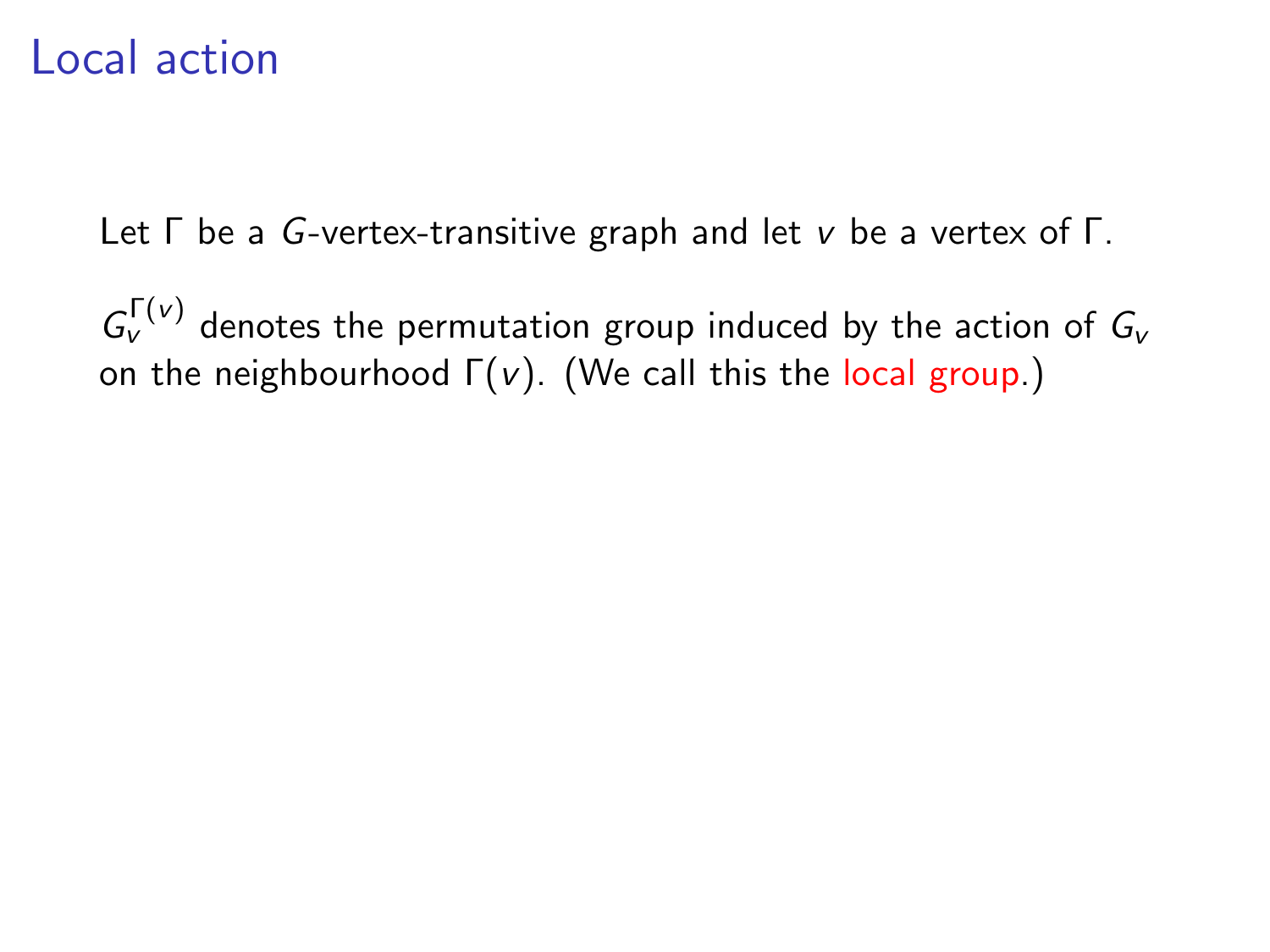Let Γ be a G-vertex-transitive graph and let v be a vertex of Γ.

 $G_{\nu}^{\Gamma(\nu)}$  denotes the permutation group induced by the action of  $G_{\nu}$ on the neighbourhood  $\Gamma(v)$ . (We call this the local group.)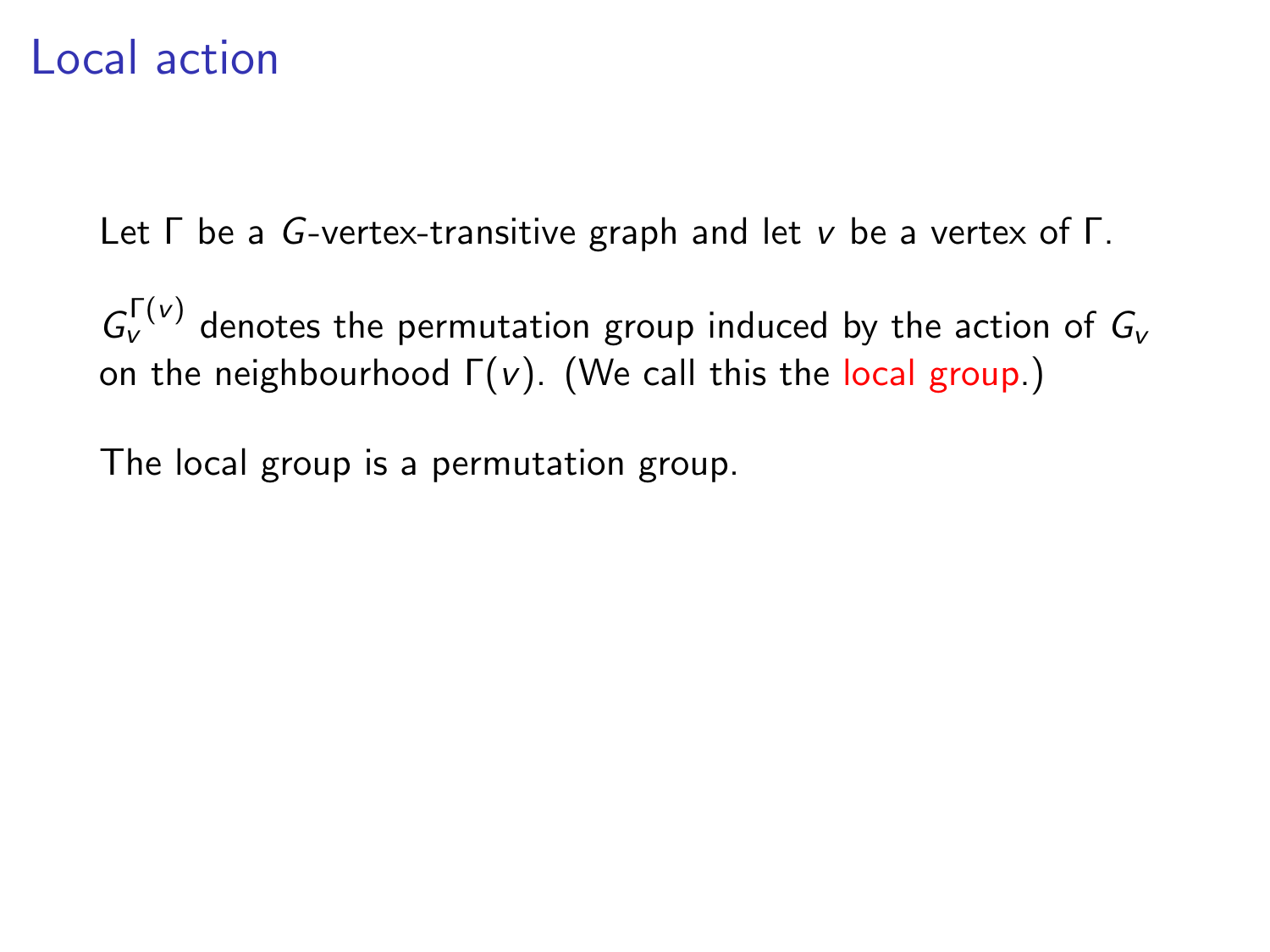Let Γ be a G-vertex-transitive graph and let v be a vertex of Γ.

 $G_{\nu}^{\Gamma(\nu)}$  denotes the permutation group induced by the action of  $G_{\nu}$ on the neighbourhood  $\Gamma(v)$ . (We call this the local group.)

The local group is a permutation group.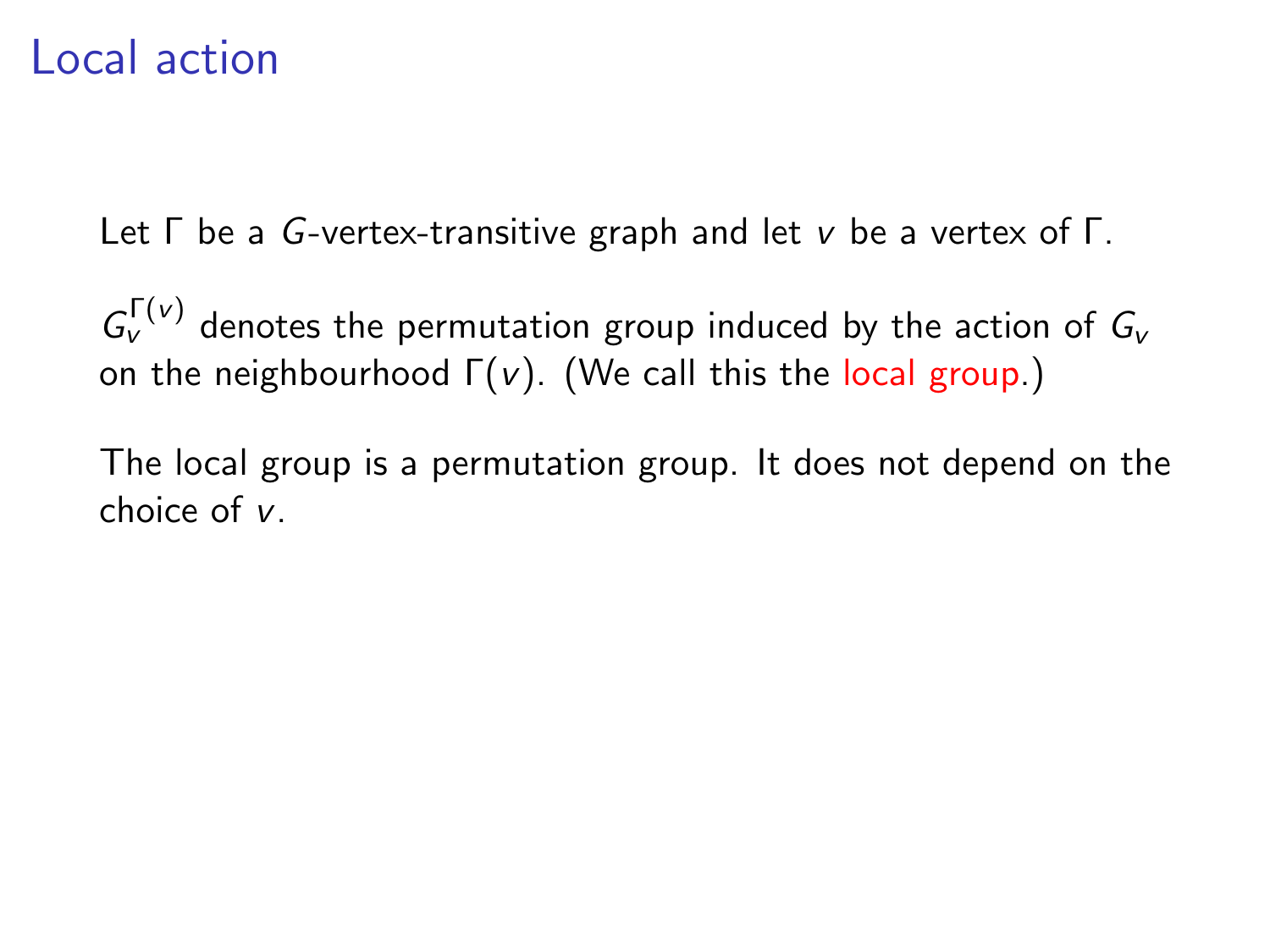Let Γ be a G-vertex-transitive graph and let v be a vertex of Γ.

 $G_{\nu}^{\Gamma(\nu)}$  denotes the permutation group induced by the action of  $G_{\nu}$ on the neighbourhood  $\Gamma(v)$ . (We call this the local group.)

The local group is a permutation group. It does not depend on the choice of v.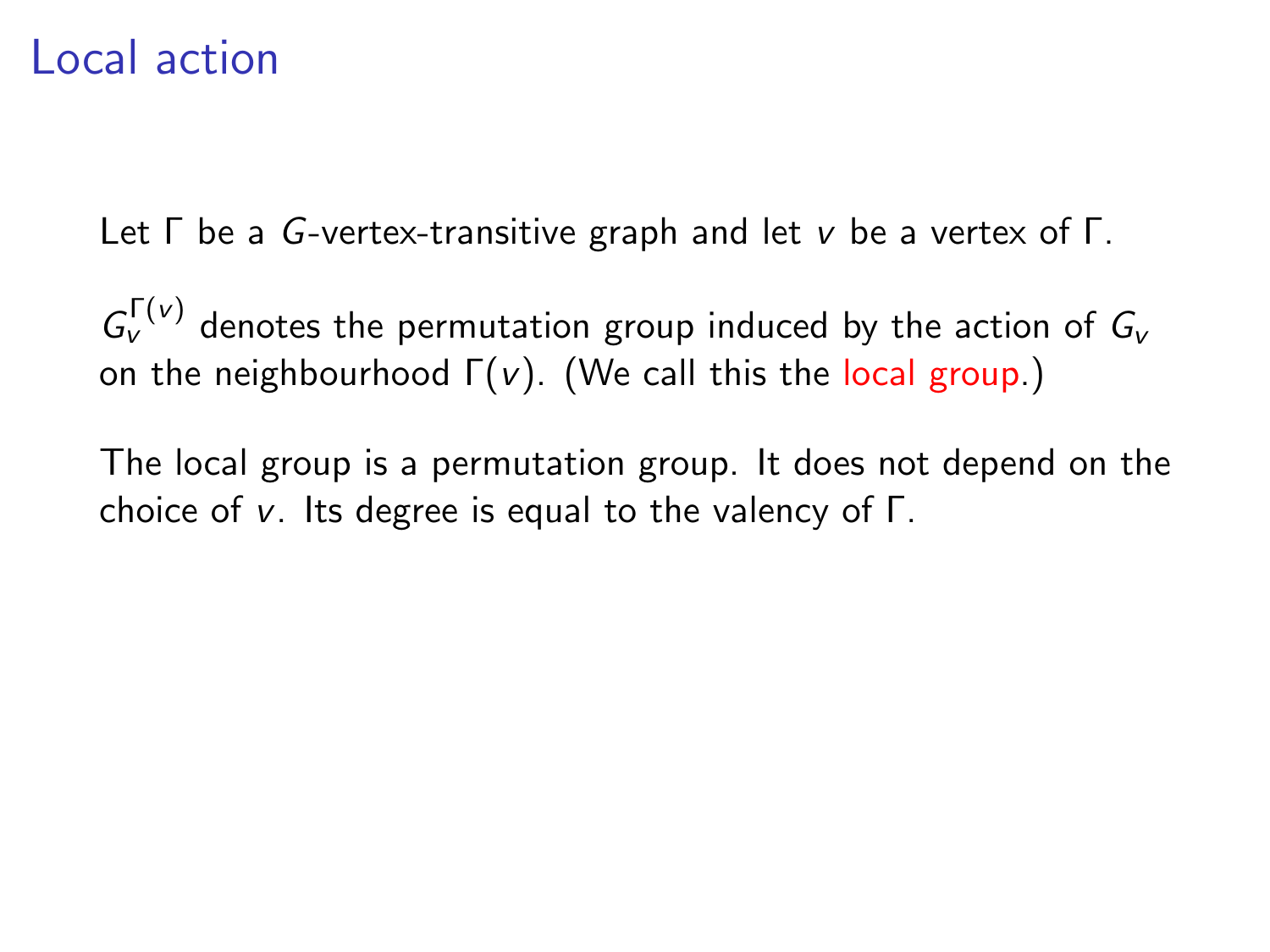Let Γ be a G-vertex-transitive graph and let v be a vertex of Γ.

 $G_{\nu}^{\Gamma(\nu)}$  denotes the permutation group induced by the action of  $G_{\nu}$ on the neighbourhood  $\Gamma(v)$ . (We call this the local group.)

The local group is a permutation group. It does not depend on the choice of v. Its degree is equal to the valency of Γ.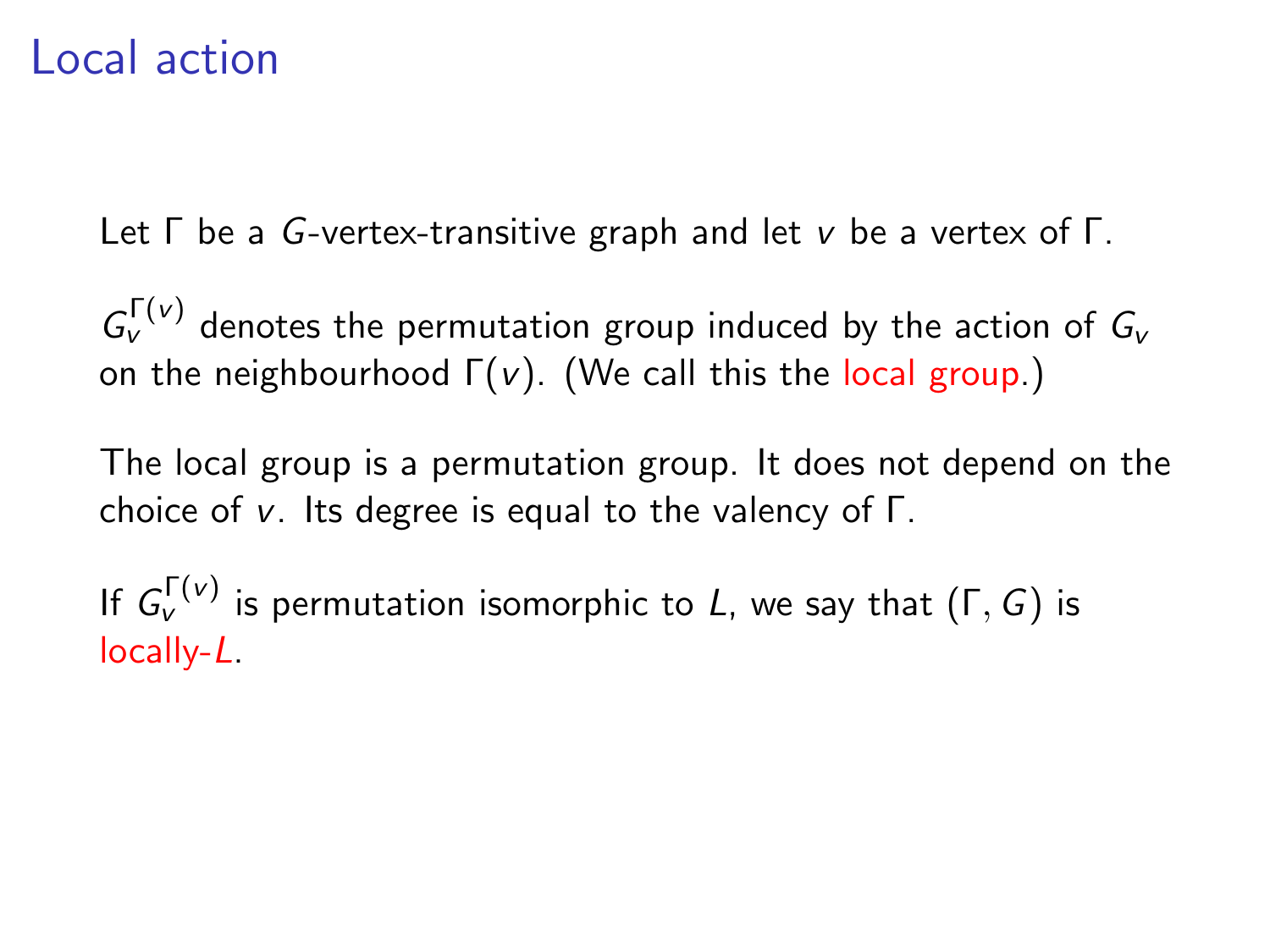Let Γ be a G-vertex-transitive graph and let v be a vertex of Γ.

 $G_{\nu}^{\Gamma(\nu)}$  denotes the permutation group induced by the action of  $G_{\nu}$ on the neighbourhood  $\Gamma(v)$ . (We call this the local group.)

The local group is a permutation group. It does not depend on the choice of v. Its degree is equal to the valency of Γ.

If  $G_{\nu}^{\Gamma(\nu)}$  is permutation isomorphic to L, we say that  $(\Gamma,G)$  is locally-L.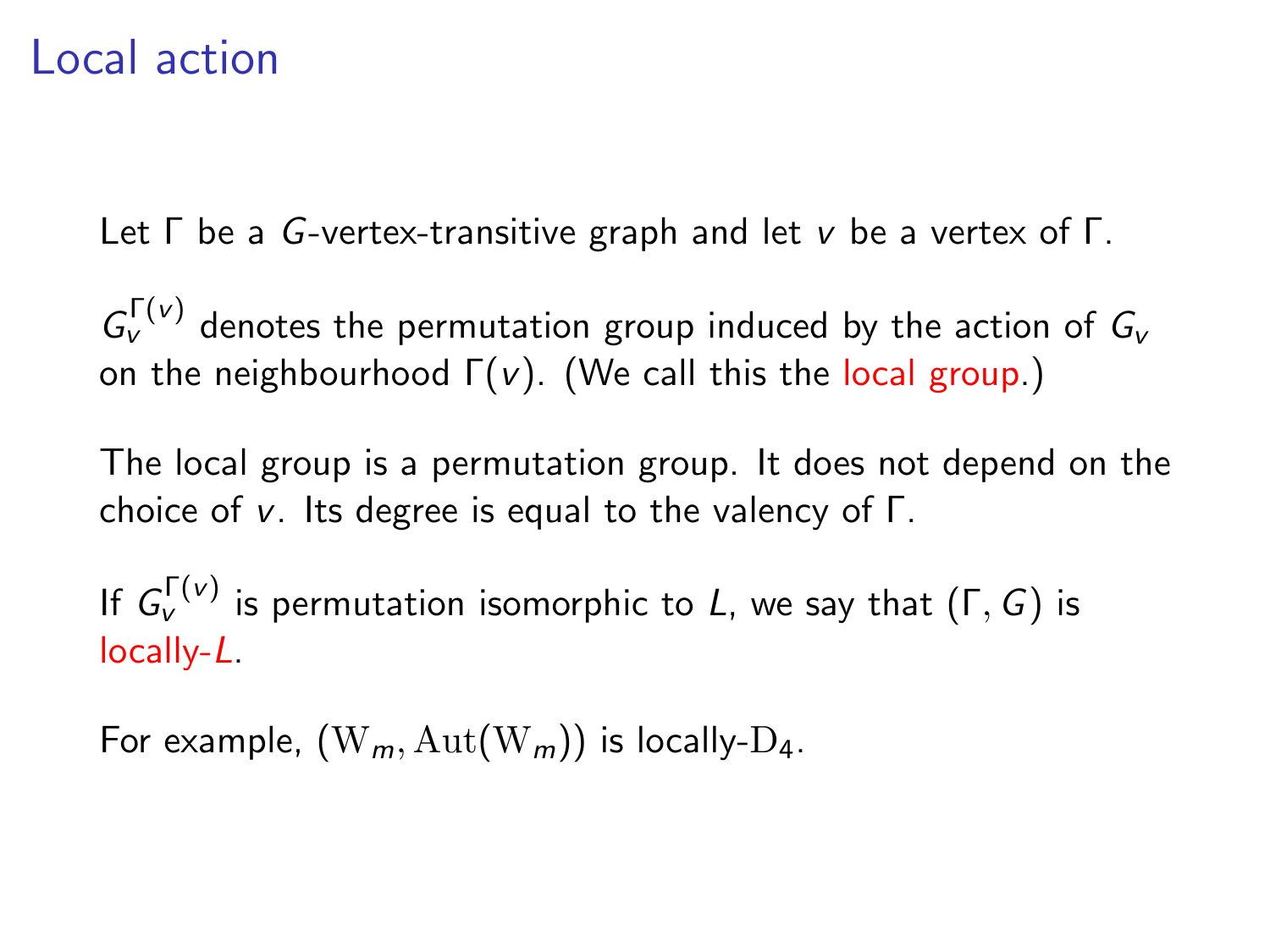Let Γ be a G-vertex-transitive graph and let v be a vertex of Γ.

 $G_{\nu}^{\Gamma(\nu)}$  denotes the permutation group induced by the action of  $G_{\nu}$ on the neighbourhood  $\Gamma(v)$ . (We call this the local group.)

The local group is a permutation group. It does not depend on the choice of v. Its degree is equal to the valency of Γ.

If  $G_{\nu}^{\Gamma(\nu)}$  is permutation isomorphic to L, we say that  $(\Gamma,G)$  is locally-L.

For example,  $(W_m, Aut(W_m))$  is locally-D<sub>4</sub>.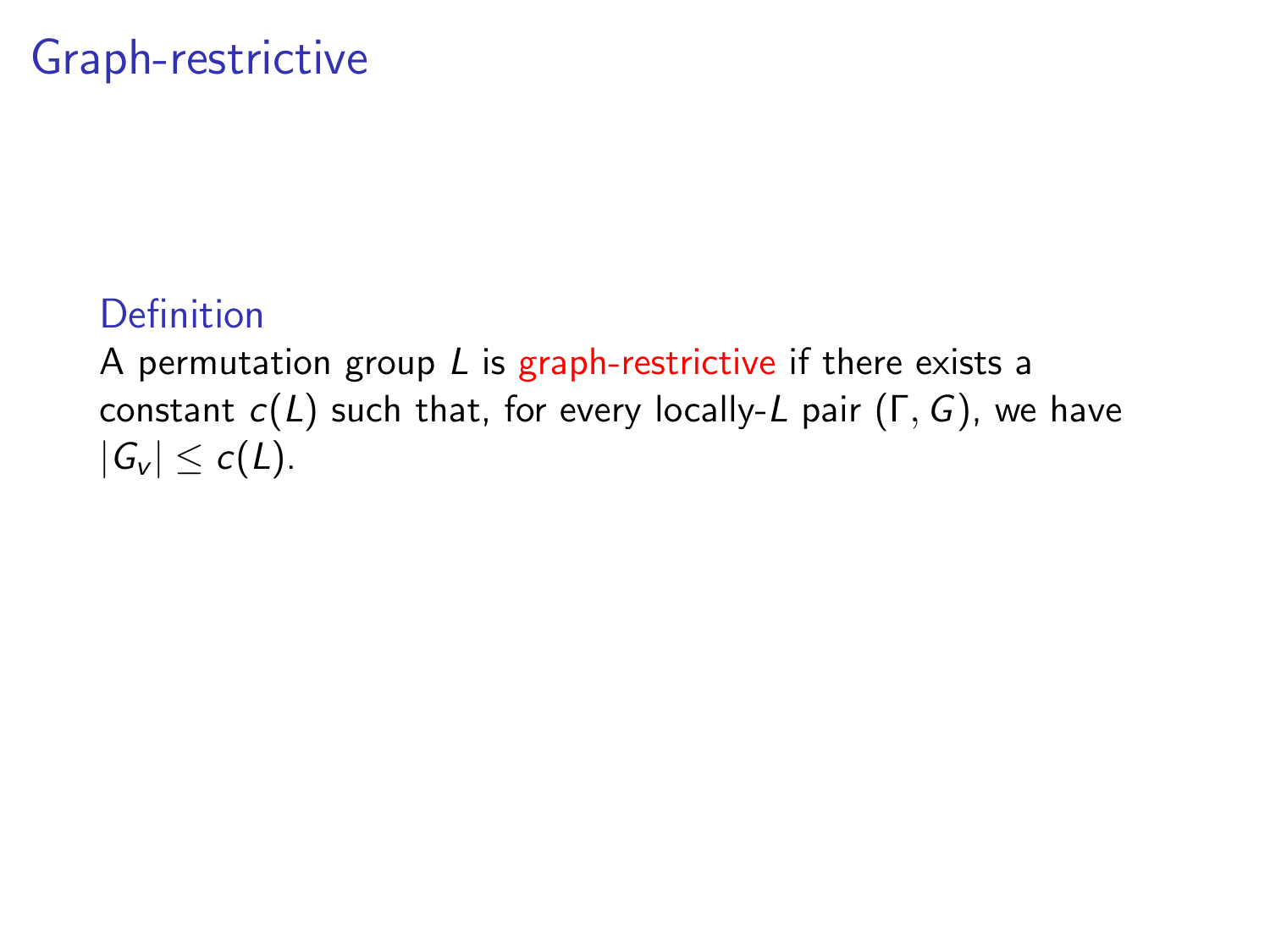## Graph-restrictive

### Definition

A permutation group  $L$  is graph-restrictive if there exists a constant  $c(L)$  such that, for every locally-L pair  $(\Gamma, G)$ , we have  $|G_v| < c(L)$ .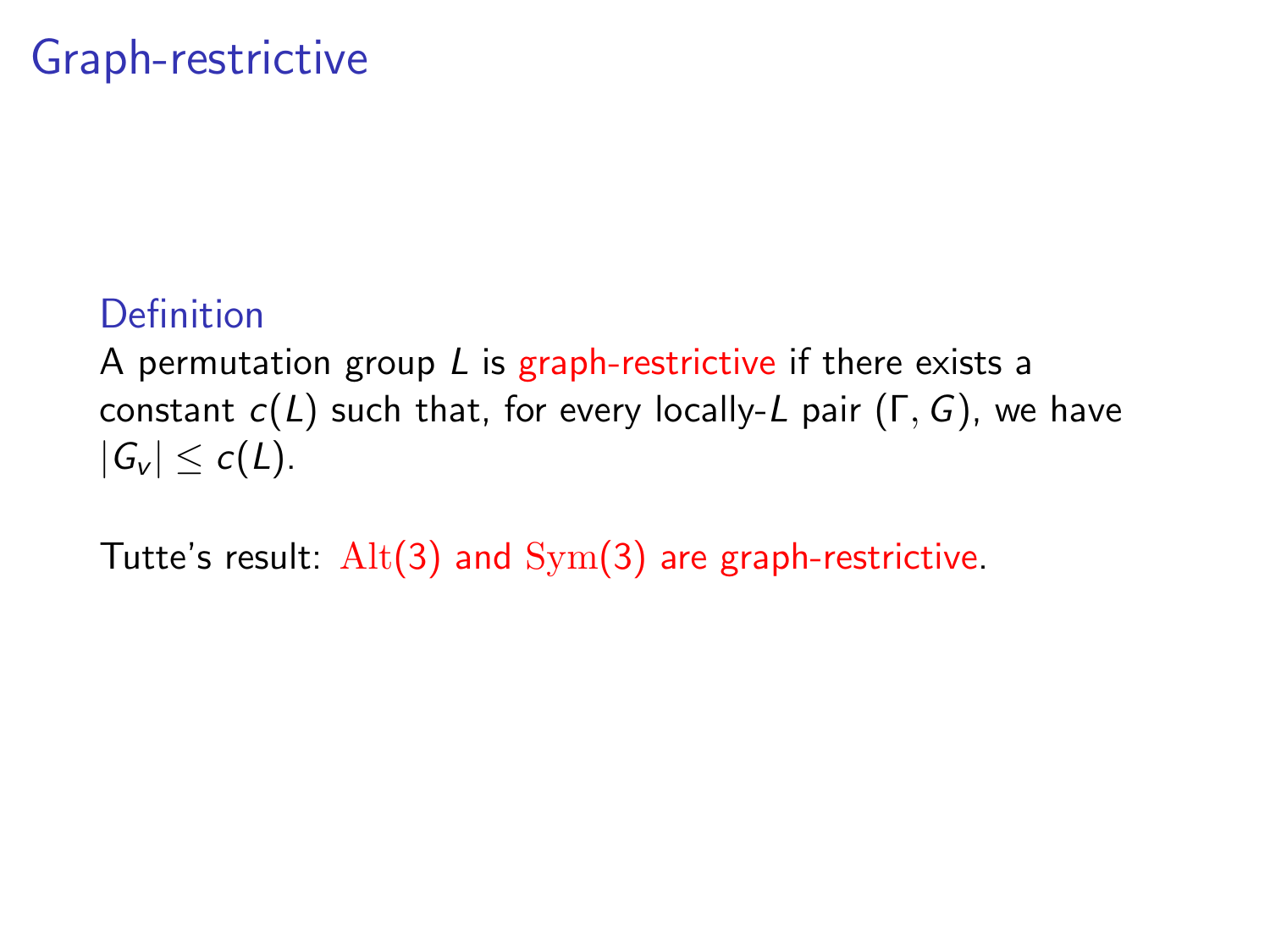### Graph-restrictive

### Definition

A permutation group  $L$  is graph-restrictive if there exists a constant  $c(L)$  such that, for every locally-L pair  $(\Gamma, G)$ , we have  $|G_v| \leq c(L)$ .

Tutte's result:  $\text{Alt}(3)$  and  $\text{Sym}(3)$  are graph-restrictive.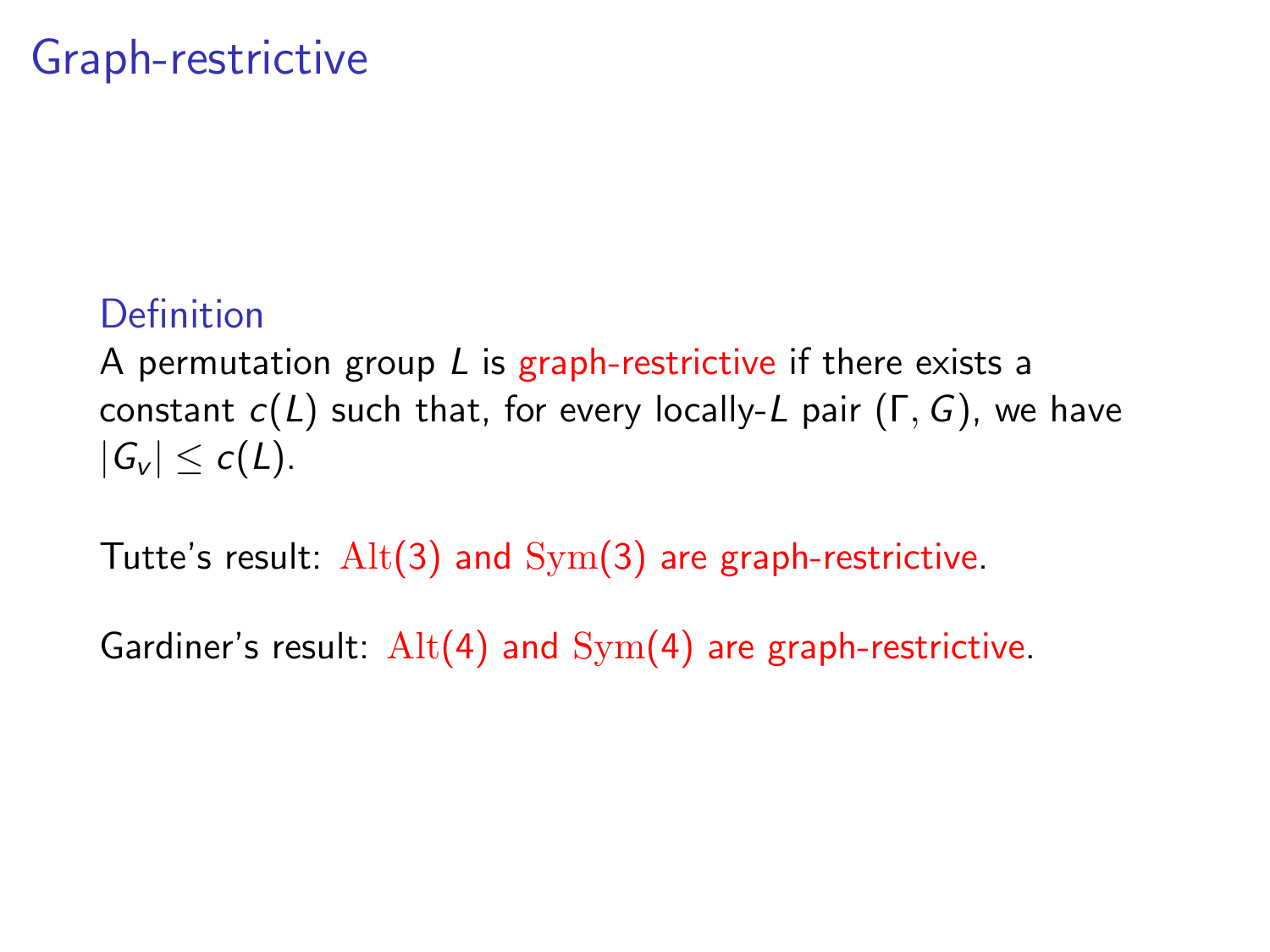### Graph-restrictive

### Definition

A permutation group  $L$  is graph-restrictive if there exists a constant  $c(L)$  such that, for every locally-L pair  $(\Gamma, G)$ , we have  $|G_v| < c(L)$ .

Tutte's result:  $Alt(3)$  and  $Sym(3)$  are graph-restrictive.

Gardiner's result:  $Alt(4)$  and  $Sym(4)$  are graph-restrictive.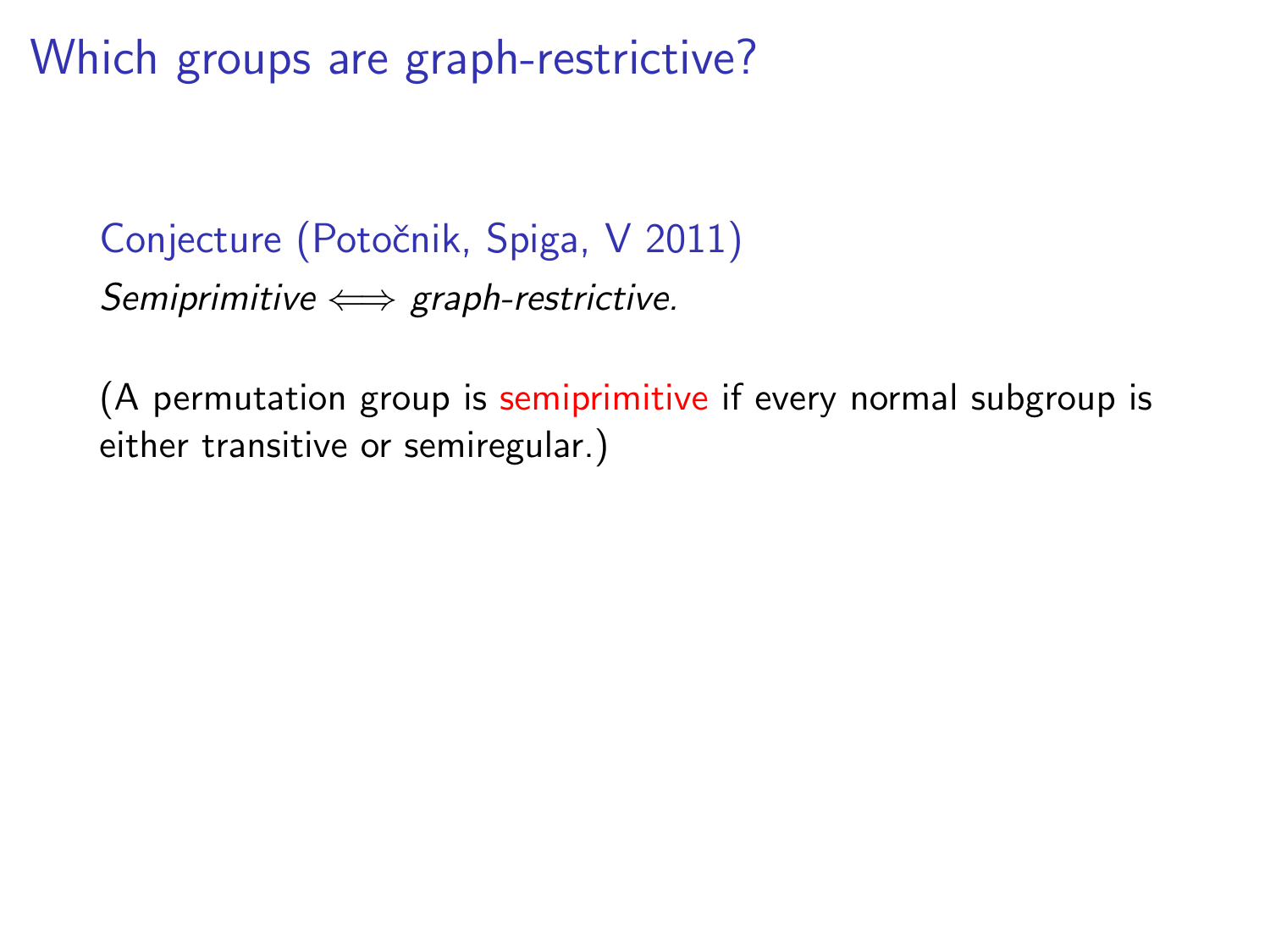Which groups are graph-restrictive?

Conjecture (Potočnik, Spiga, V 2011) Semiprimitive  $\Longleftrightarrow$  graph-restrictive.

(A permutation group is semiprimitive if every normal subgroup is either transitive or semiregular.)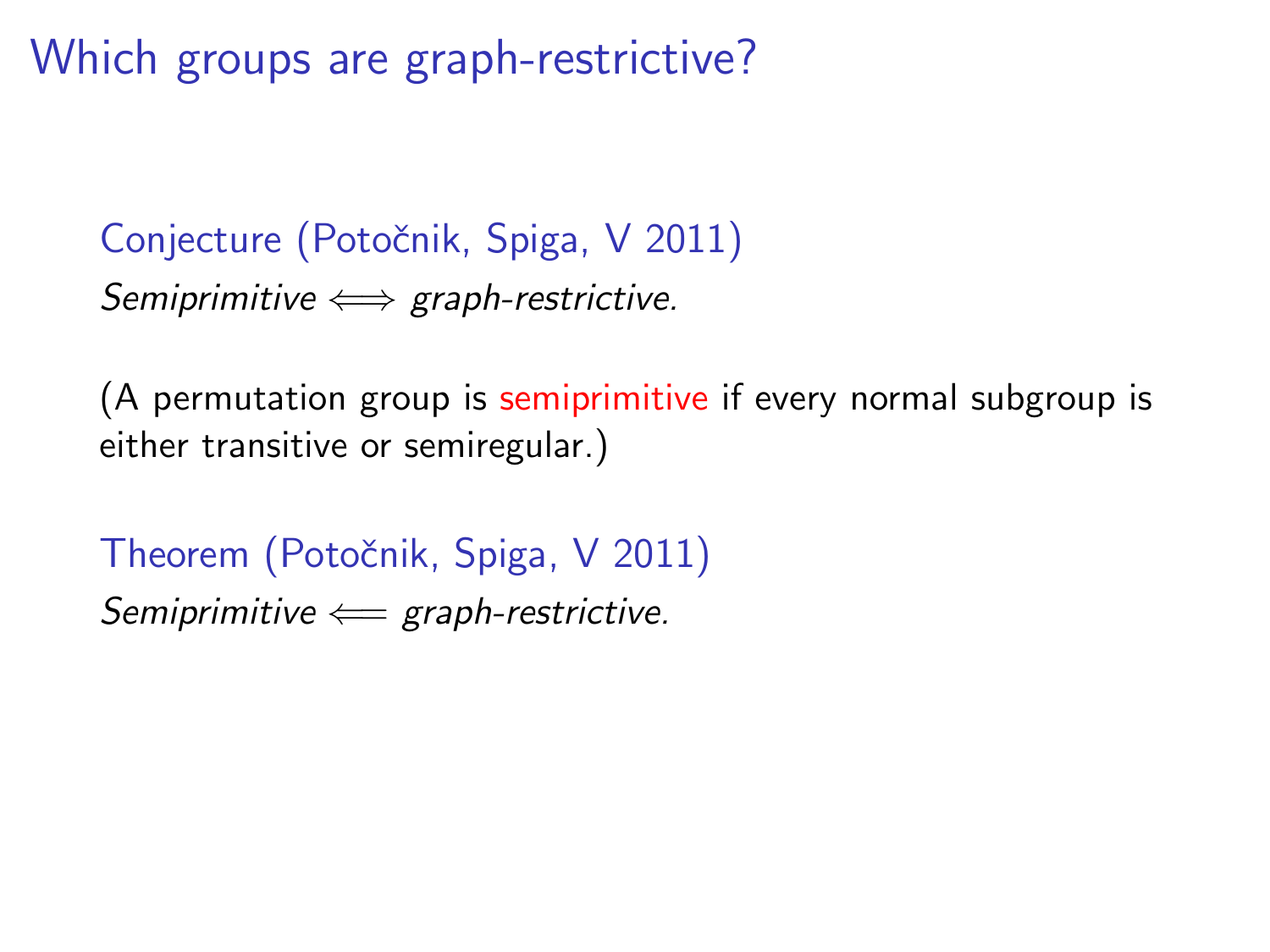Which groups are graph-restrictive?

Conjecture (Potočnik, Spiga, V 2011) Semiprimitive  $\Longleftrightarrow$  graph-restrictive.

(A permutation group is semiprimitive if every normal subgroup is either transitive or semiregular.)

Theorem (Potočnik, Spiga, V 2011) Semiprimitive  $\Leftarrow$  graph-restrictive.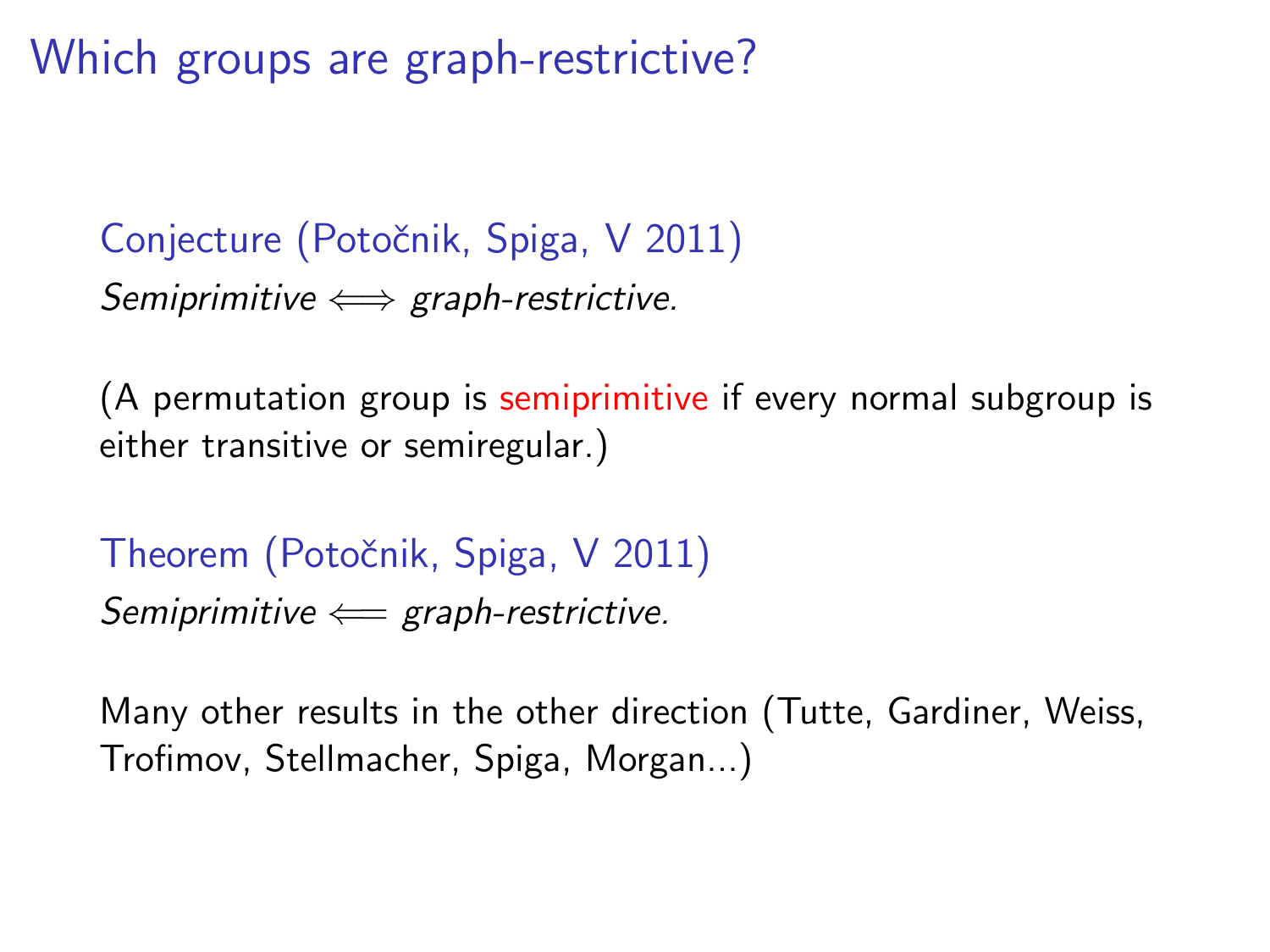Which groups are graph-restrictive?

Conjecture (Potočnik, Spiga, V 2011) Semiprimitive  $\Longleftrightarrow$  graph-restrictive.

(A permutation group is semiprimitive if every normal subgroup is either transitive or semiregular.)

Theorem (Potočnik, Spiga, V 2011) Semiprimitive  $\Leftarrow$  graph-restrictive.

Many other results in the other direction (Tutte, Gardiner, Weiss, Trofimov, Stellmacher, Spiga, Morgan...)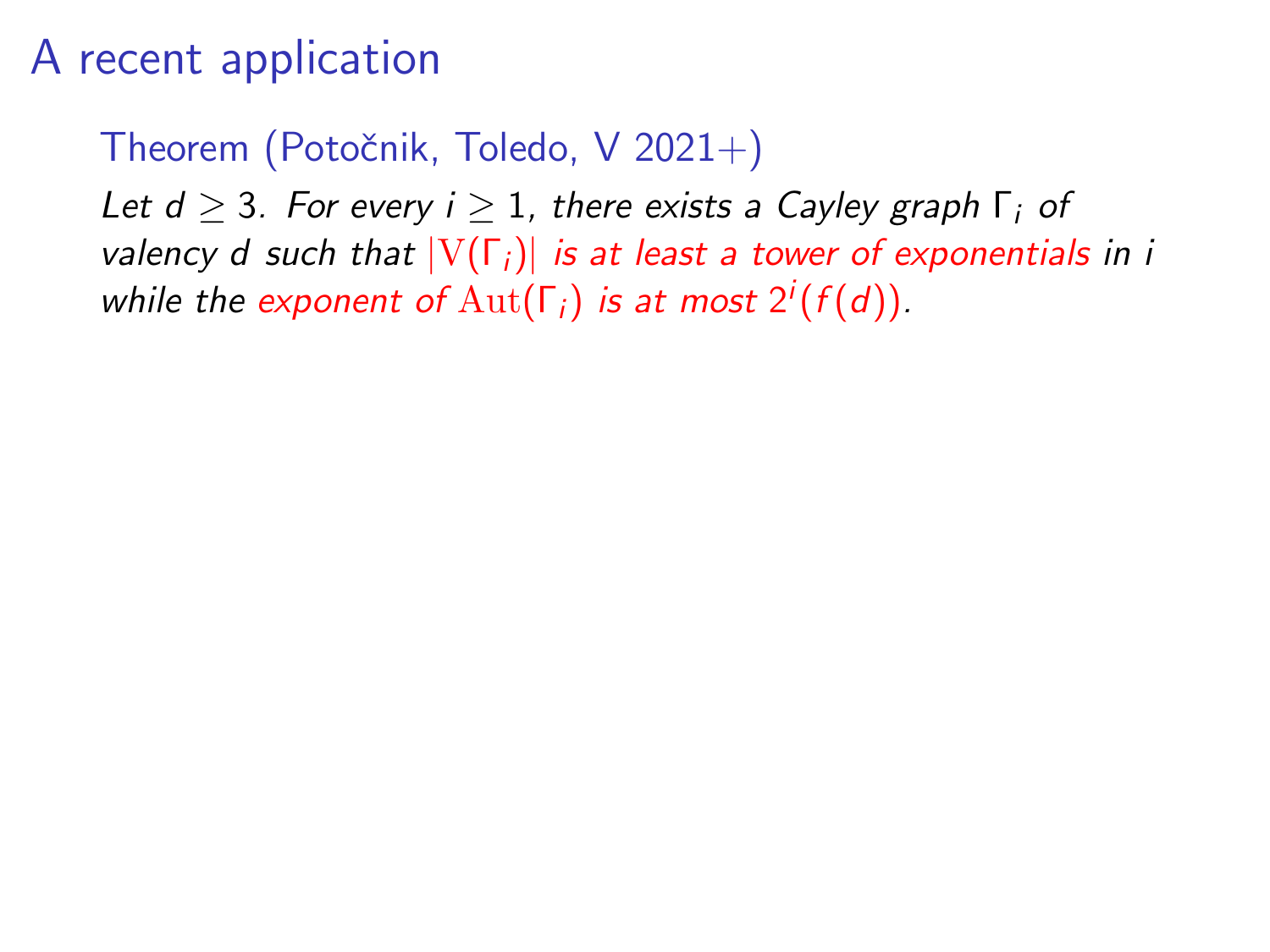Theorem (Potočnik, Toledo, V 2021+)

Let  $d > 3$ . For every  $i > 1$ , there exists a Cayley graph  $\Gamma_i$  of valency d such that  $|V(\Gamma_i)|$  is at least a tower of exponentials in i while the exponent of  $\mathrm{Aut}(\Gamma_i)$  is at most  $2^i(f(d)).$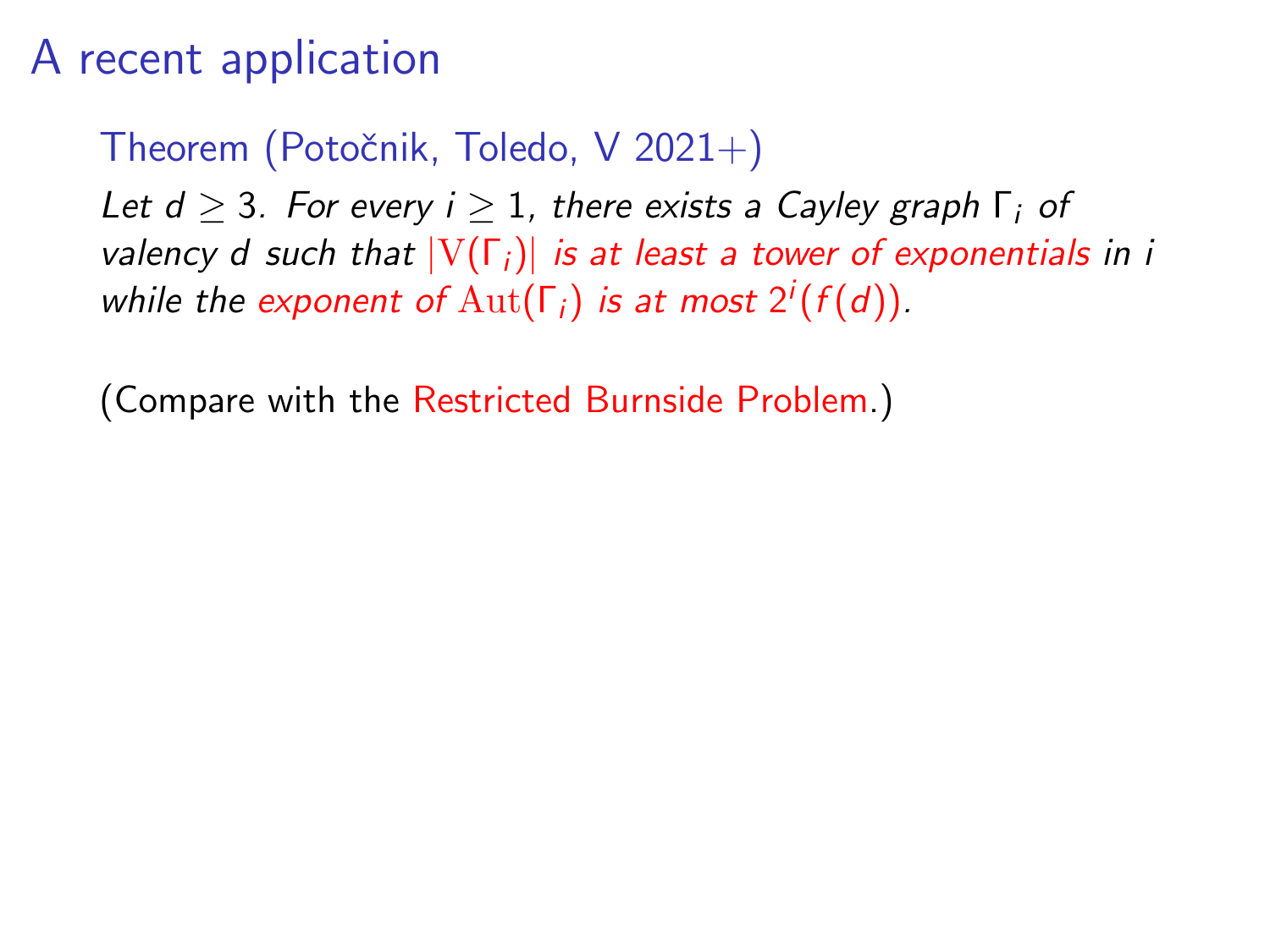Theorem (Potočnik, Toledo, V 2021+)

Let  $d > 3$ . For every  $i > 1$ , there exists a Cayley graph  $\Gamma_i$  of valency d such that  $|V(\Gamma_i)|$  is at least a tower of exponentials in i while the exponent of  $\mathrm{Aut}(\Gamma_i)$  is at most  $2^i(f(d)).$ 

(Compare with the Restricted Burnside Problem.)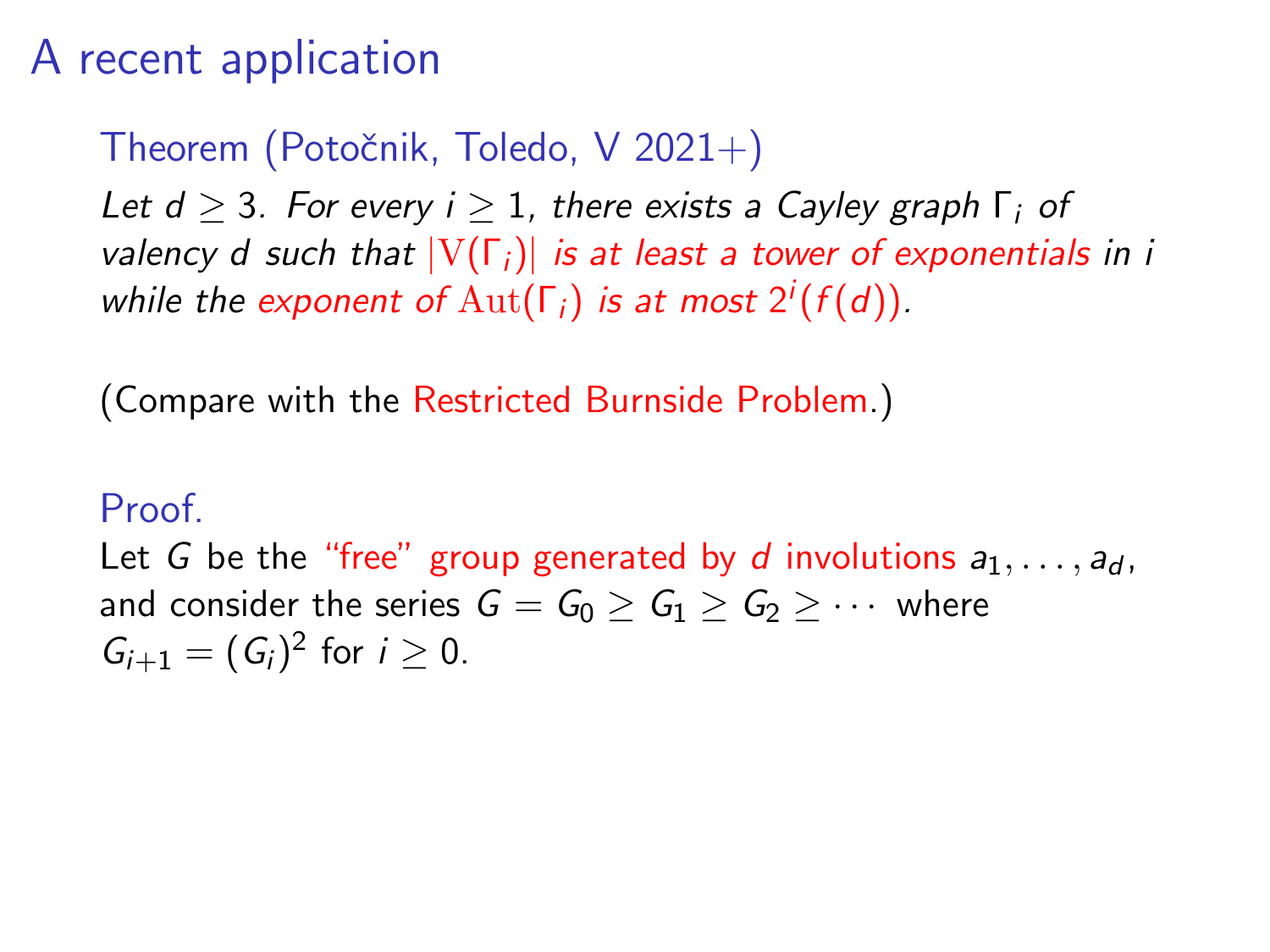Theorem (Potočnik, Toledo, V 2021+)

Let  $d > 3$ . For every  $i > 1$ , there exists a Cayley graph  $\Gamma_i$  of valency d such that  $|V(\Gamma_i)|$  is at least a tower of exponentials in i while the exponent of  $\mathrm{Aut}(\Gamma_i)$  is at most  $2^i(f(d)).$ 

(Compare with the Restricted Burnside Problem.)

#### Proof.

Let G be the "free" group generated by d involutions  $a_1, \ldots, a_d$ , and consider the series  $G = G_0 > G_1 > G_2 > \cdots$  where  $G_{i+1} = (G_i)^2$  for  $i \ge 0$ .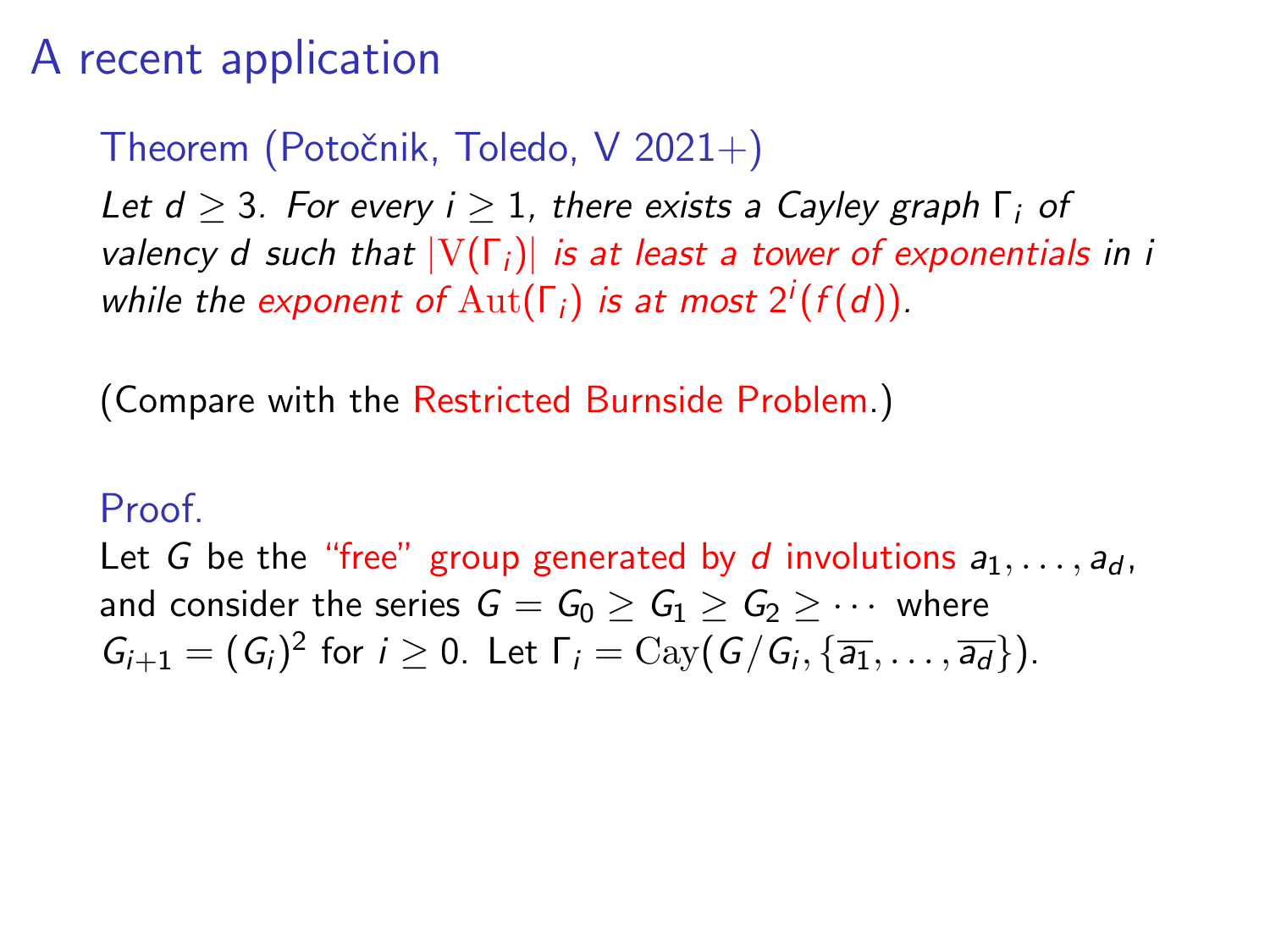Theorem (Potočnik, Toledo, V 2021+)

Let  $d > 3$ . For every  $i > 1$ , there exists a Cayley graph  $\Gamma_i$  of valency d such that  $|V(\Gamma_i)|$  is at least a tower of exponentials in i while the exponent of  $\mathrm{Aut}(\Gamma_i)$  is at most  $2^i(f(d)).$ 

(Compare with the Restricted Burnside Problem.)

#### Proof.

Let G be the "free" group generated by d involutions  $a_1, \ldots, a_d$ , and consider the series  $G = G_0 \ge G_1 \ge G_2 \ge \cdots$  where  $G_{i+1} = (G_i)^2$  for  $i \ge 0$ . Let  $\Gamma_i = \text{Cay}(G/G_i, \{\overline{a_1}, \ldots, \overline{a_d}\})$ .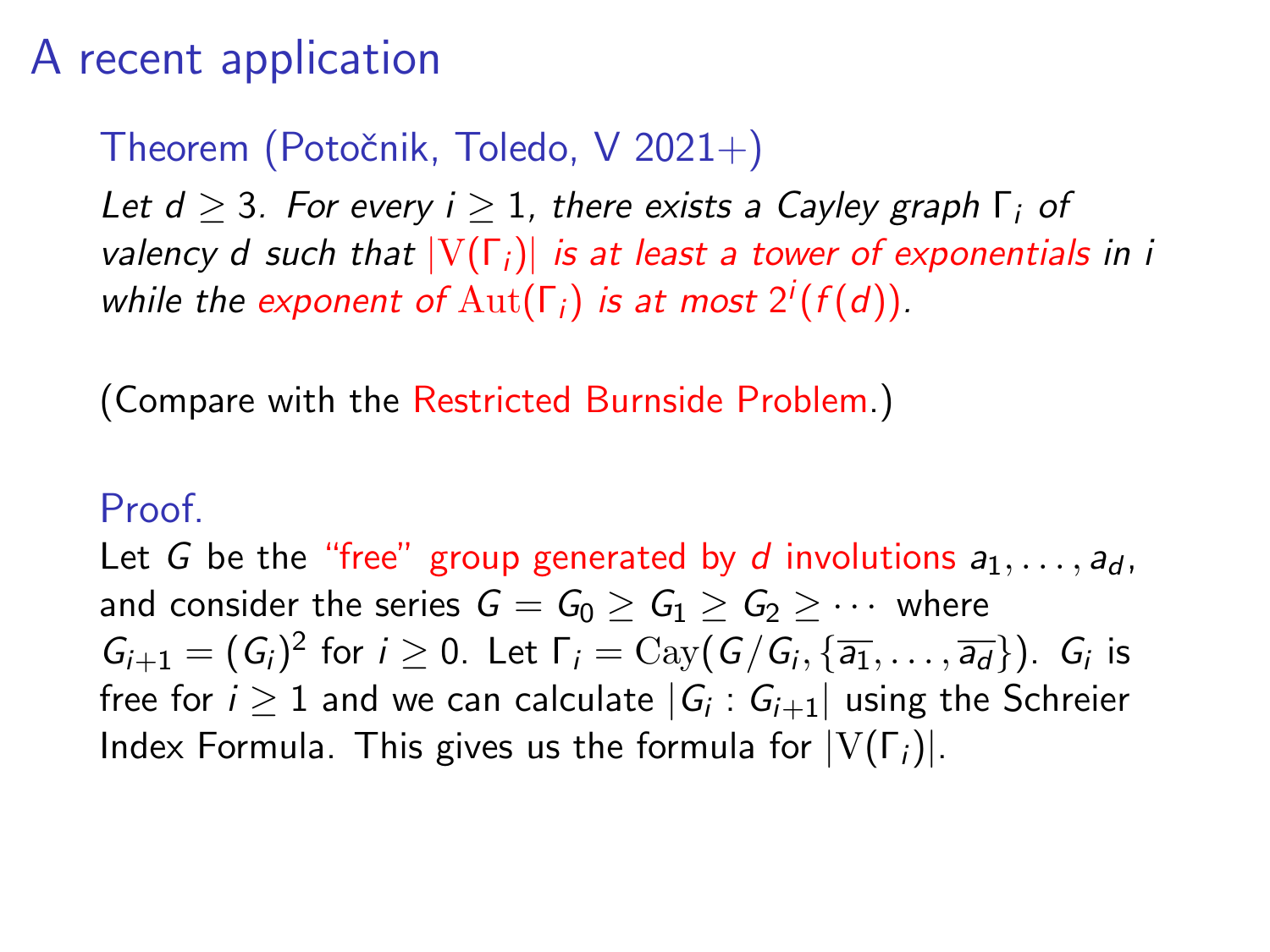Theorem (Potočnik, Toledo, V 2021+)

Let  $d > 3$ . For every  $i > 1$ , there exists a Cayley graph  $\Gamma_i$  of valency d such that  $|V(\Gamma_i)|$  is at least a tower of exponentials in i while the exponent of  $\mathrm{Aut}(\Gamma_i)$  is at most  $2^i(f(d)).$ 

(Compare with the Restricted Burnside Problem.)

#### Proof.

Let G be the "free" group generated by d involutions  $a_1, \ldots, a_d$ , and consider the series  $G = G_0 > G_1 > G_2 > \cdots$  where  $G_{i+1}=(G_i)^2$  for  $i\geq 0$ . Let  $\Gamma_i=\text{Cay}(G/G_i,\{\overline{a_1},\ldots,\overline{a_d}\})$ .  $G_i$  is free for  $i\geq 1$  and we can calculate  $|G_i:G_{i+1}|$  using the Schreier Index Formula. This gives us the formula for  $|V(\Gamma_i)|$ .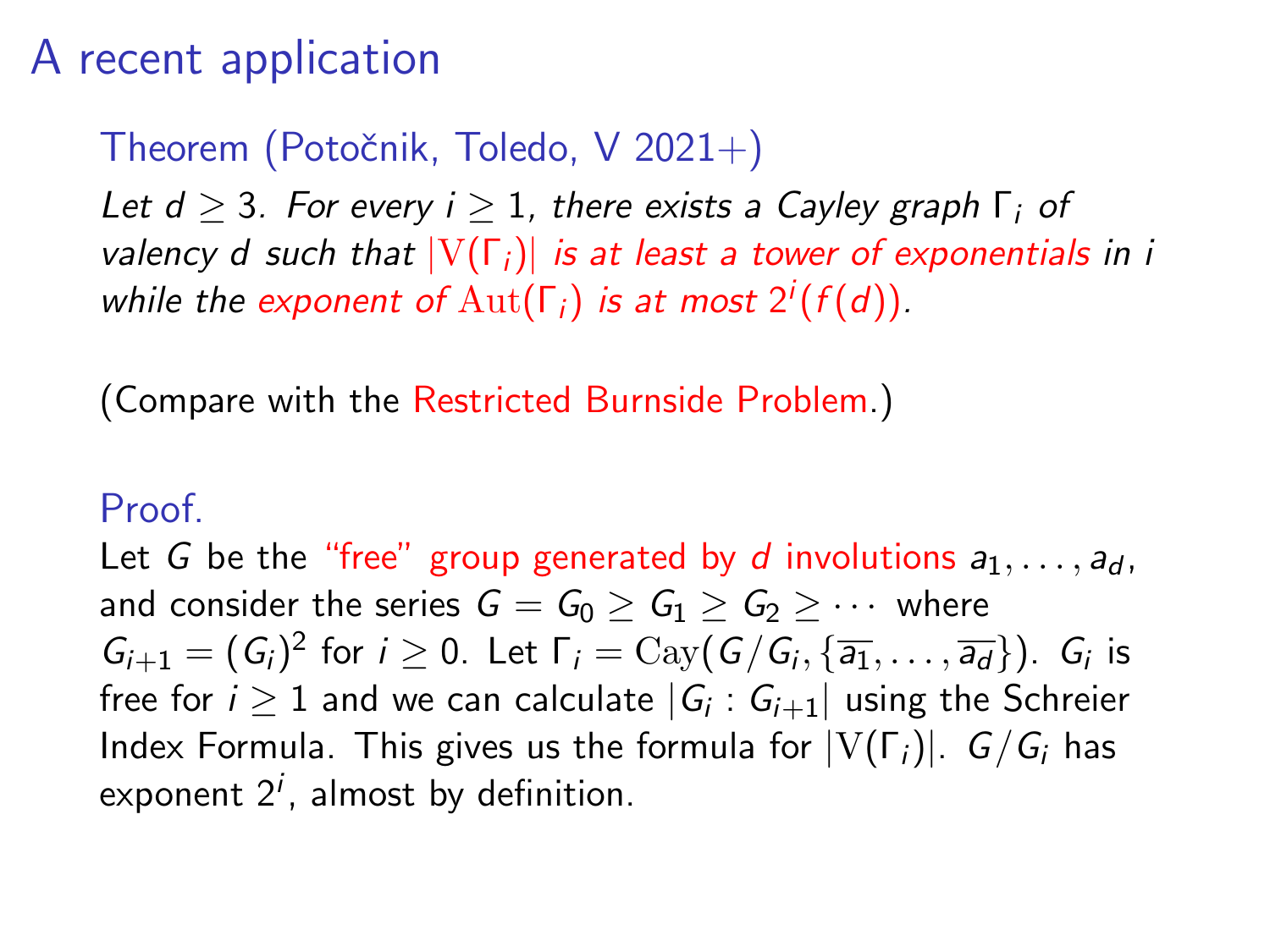### Theorem (Potočnik, Toledo, V 2021+)

Let  $d > 3$ . For every  $i > 1$ , there exists a Cayley graph  $\Gamma_i$  of valency d such that  $|V(\Gamma_i)|$  is at least a tower of exponentials in i while the exponent of  $\mathrm{Aut}(\Gamma_i)$  is at most  $2^i(f(d)).$ 

(Compare with the Restricted Burnside Problem.)

#### Proof.

Let G be the "free" group generated by d involutions  $a_1, \ldots, a_d$ , and consider the series  $G = G_0 > G_1 > G_2 > \cdots$  where  $G_{i+1}=(G_i)^2$  for  $i\geq 0$ . Let  $\Gamma_i=\text{Cay}(G/G_i,\{\overline{a_1},\ldots,\overline{a_d}\})$ .  $G_i$  is free for  $i\geq 1$  and we can calculate  $|G_i:G_{i+1}|$  using the Schreier Index Formula. This gives us the formula for  $|V(\Gamma_i)|$ .  $G/G_i$  has exponent  $2^i$ , almost by definition.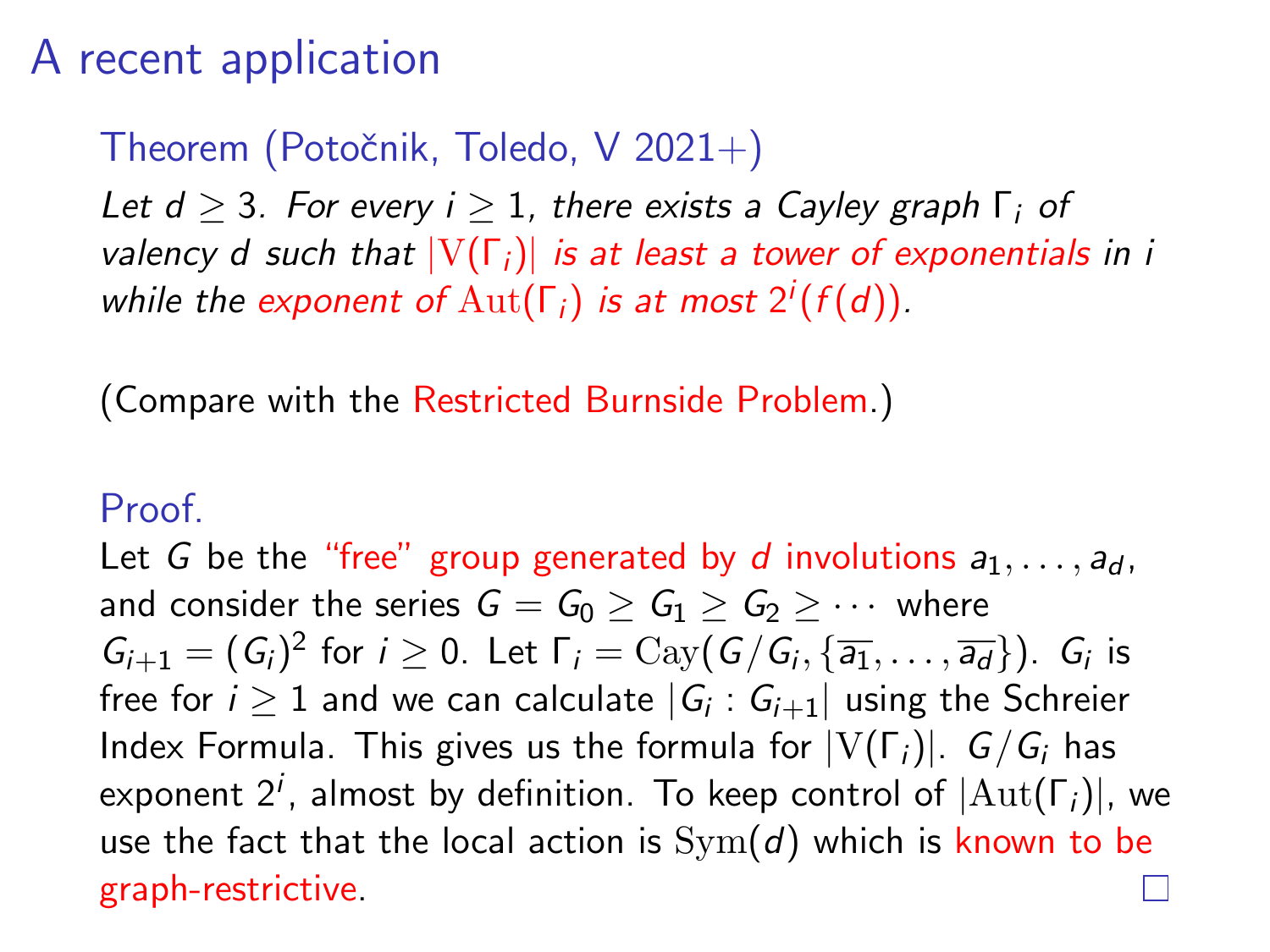### Theorem (Potočnik, Toledo, V 2021+)

Let  $d > 3$ . For every  $i > 1$ , there exists a Cayley graph  $\Gamma_i$  of valency d such that  $|V(\Gamma_i)|$  is at least a tower of exponentials in i while the exponent of  $\mathrm{Aut}(\Gamma_i)$  is at most  $2^i(f(d)).$ 

(Compare with the Restricted Burnside Problem.)

#### Proof.

Let G be the "free" group generated by d involutions  $a_1, \ldots, a_d$ , and consider the series  $G = G_0 > G_1 > G_2 > \cdots$  where  $G_{i+1}=(G_i)^2$  for  $i\geq 0$ . Let  $\Gamma_i=\text{Cay}(G/G_i,\{\overline{a_1},\ldots,\overline{a_d}\})$ .  $G_i$  is free for  $i\geq 1$  and we can calculate  $|G_i:G_{i+1}|$  using the Schreier Index Formula. This gives us the formula for  $|V(\Gamma_i)|$ .  $G/G_i$  has exponent  $2^i$ , almost by definition. To keep control of  $|\mathrm{Aut}(\Gamma_i)|$ , we use the fact that the local action is  $Sym(d)$  which is known to be graph-restrictive.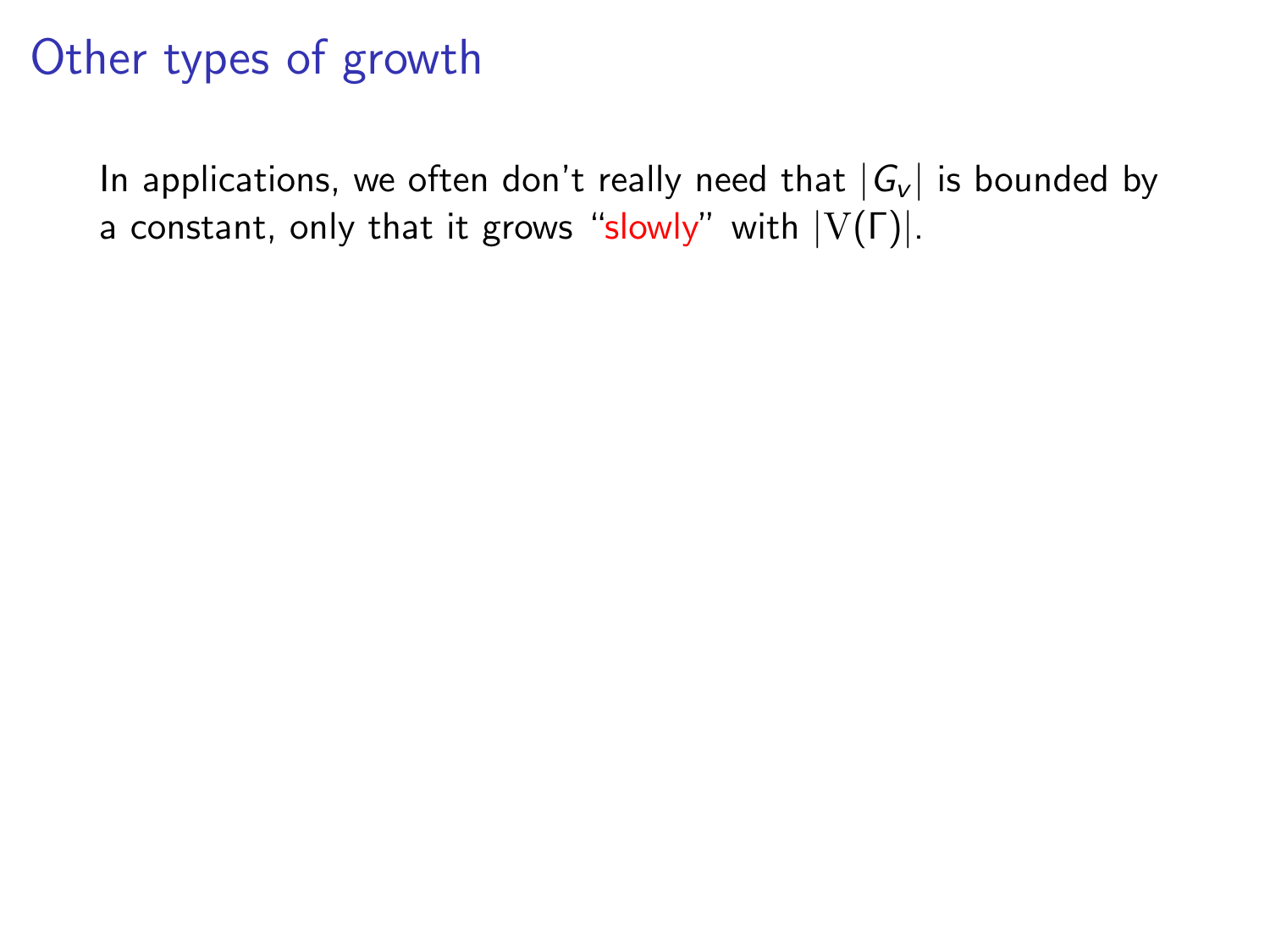In applications, we often don't really need that  $|G_v|$  is bounded by a constant, only that it grows "slowly" with  $|V(\Gamma)|$ .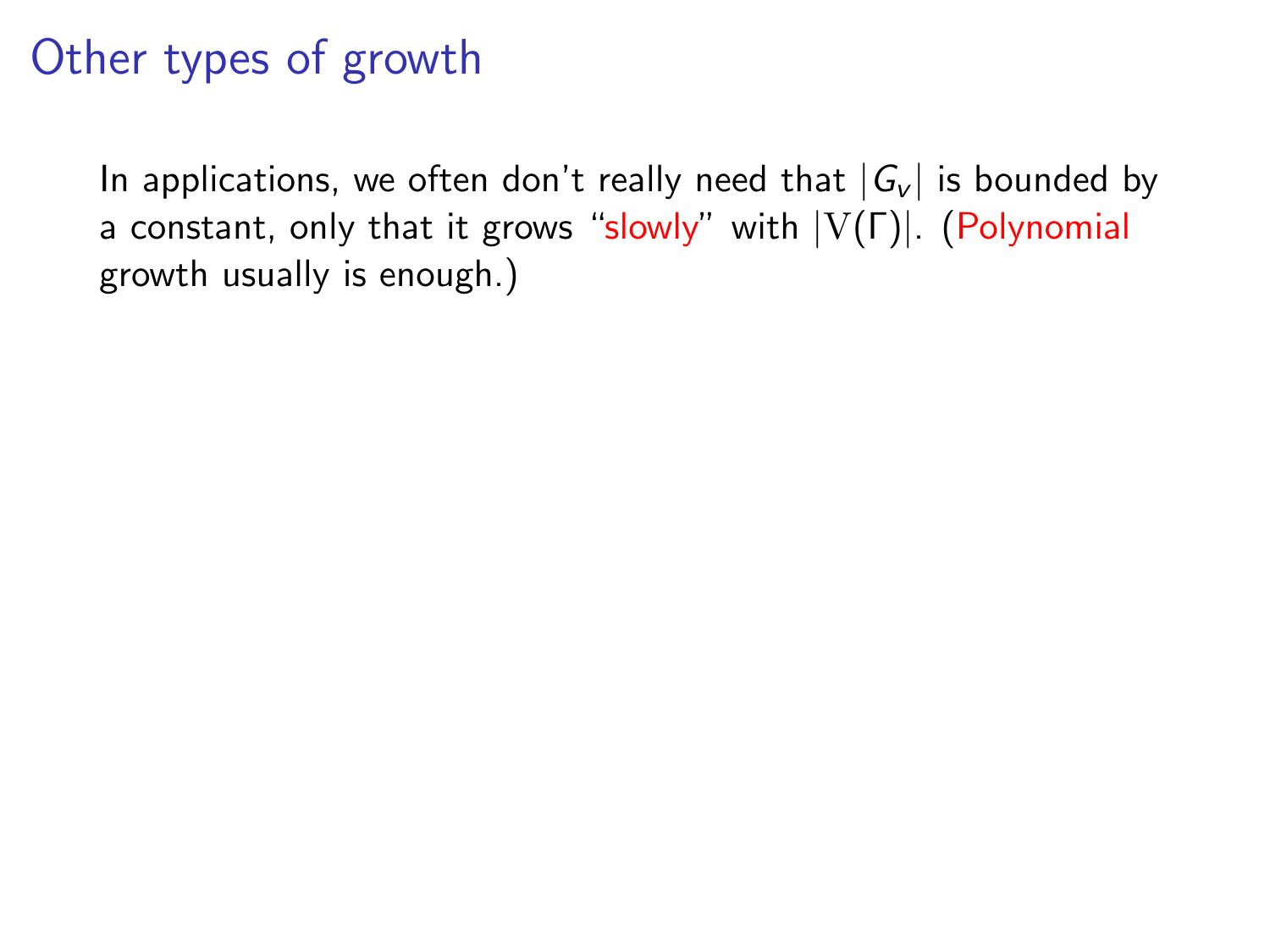In applications, we often don't really need that  $|G_v|$  is bounded by a constant, only that it grows "slowly" with  $|V(\Gamma)|$ . (Polynomial growth usually is enough.)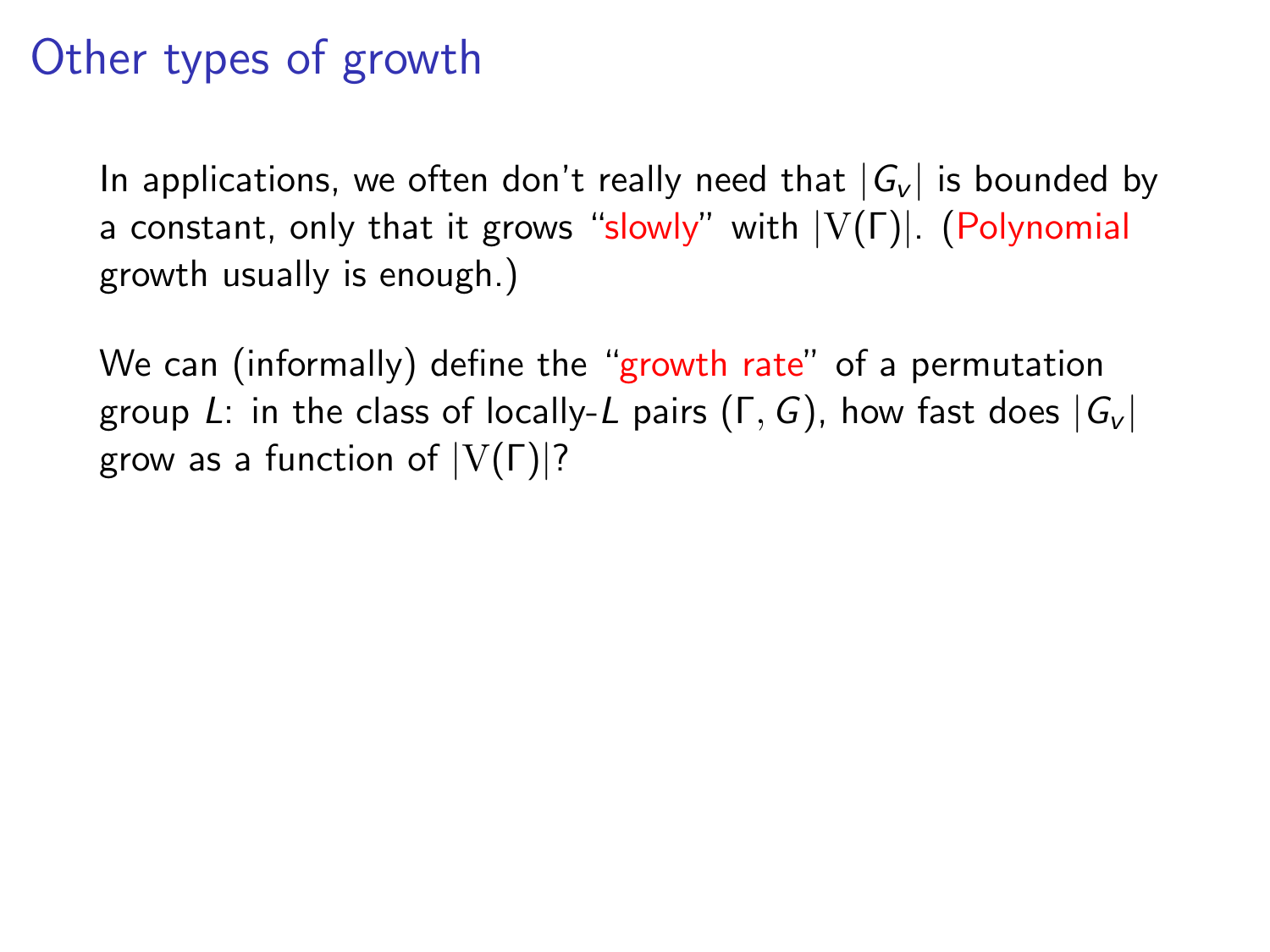In applications, we often don't really need that  $|G_v|$  is bounded by a constant, only that it grows "slowly" with  $|V(\Gamma)|$ . (Polynomial growth usually is enough.)

We can (informally) define the "growth rate" of a permutation group L: in the class of locally-L pairs (Γ, G), how fast does  $|G_v|$ grow as a function of  $|V(\Gamma)|$ ?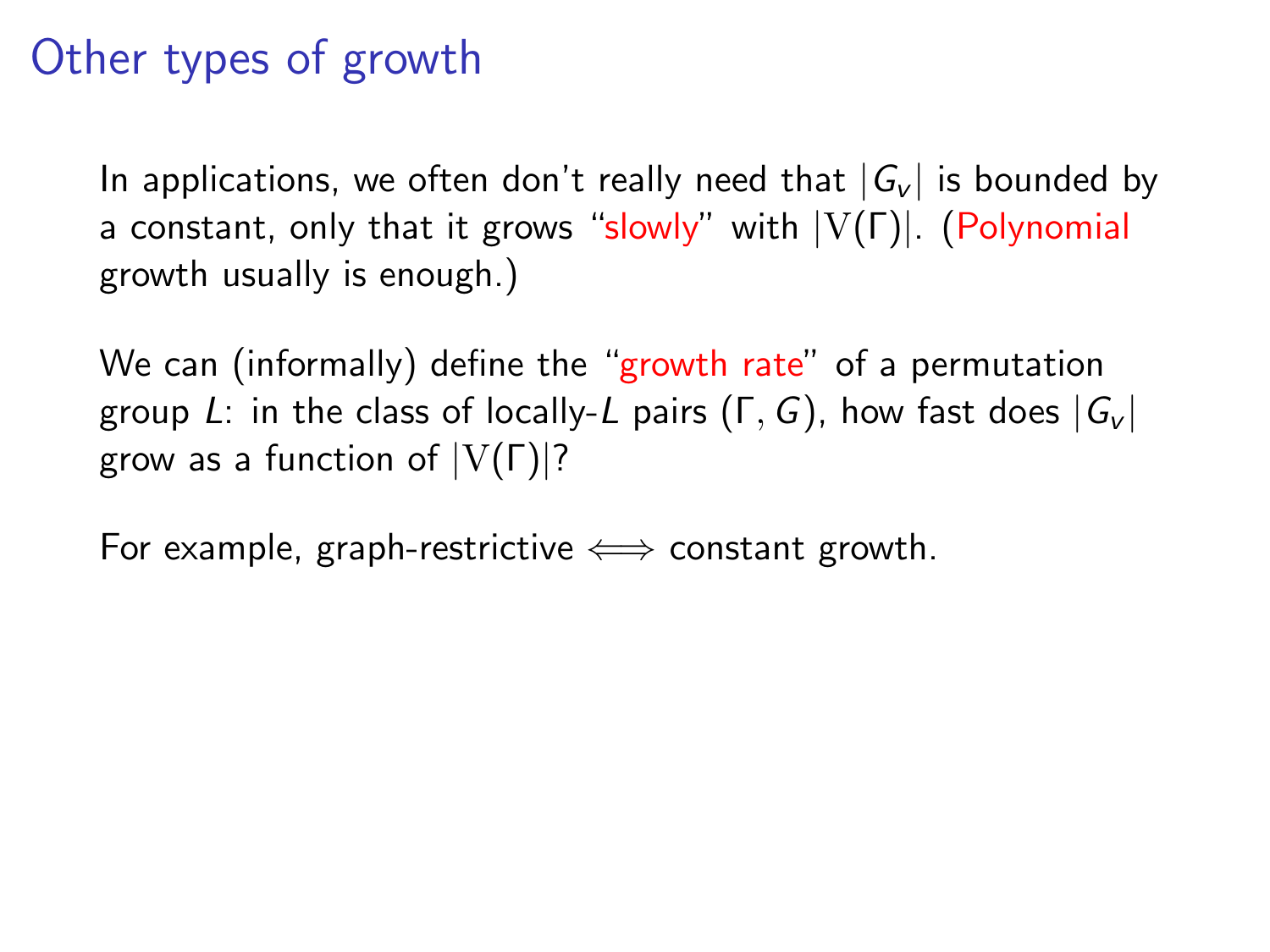In applications, we often don't really need that  $|G_v|$  is bounded by a constant, only that it grows "slowly" with |V(Γ)|. (Polynomial growth usually is enough.)

We can (informally) define the "growth rate" of a permutation group L: in the class of locally-L pairs  $(\Gamma, G)$ , how fast does  $|G_v|$ grow as a function of  $|V(\Gamma)|$ ?

For example, graph-restrictive  $\iff$  constant growth.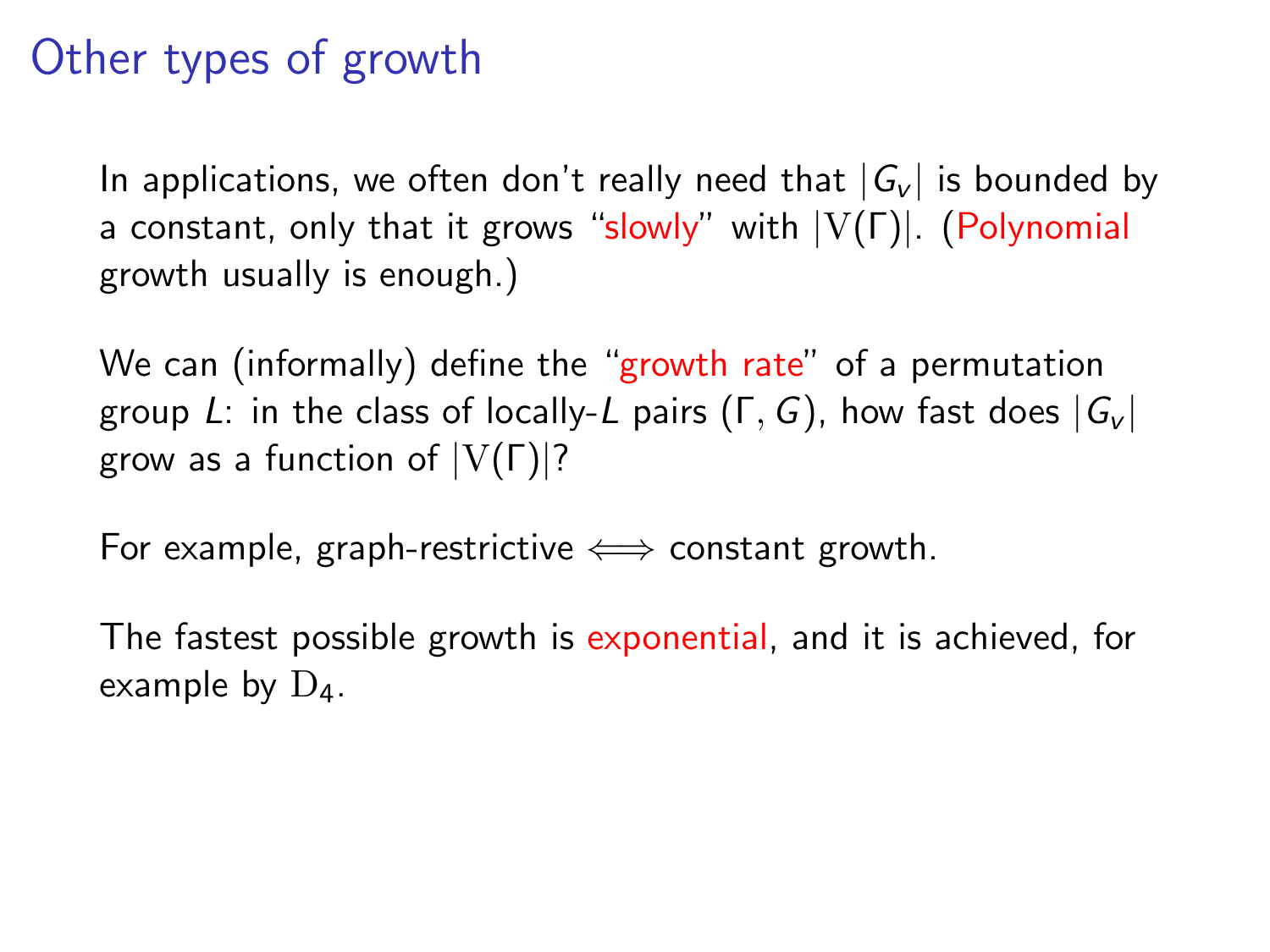In applications, we often don't really need that  $|G_v|$  is bounded by a constant, only that it grows "slowly" with |V(Γ)|. (Polynomial growth usually is enough.)

We can (informally) define the "growth rate" of a permutation group L: in the class of locally-L pairs  $(\Gamma, G)$ , how fast does  $|G_v|$ grow as a function of  $|V(\Gamma)|$ ?

For example, graph-restrictive  $\iff$  constant growth.

The fastest possible growth is exponential, and it is achieved, for example by  $D_4$ .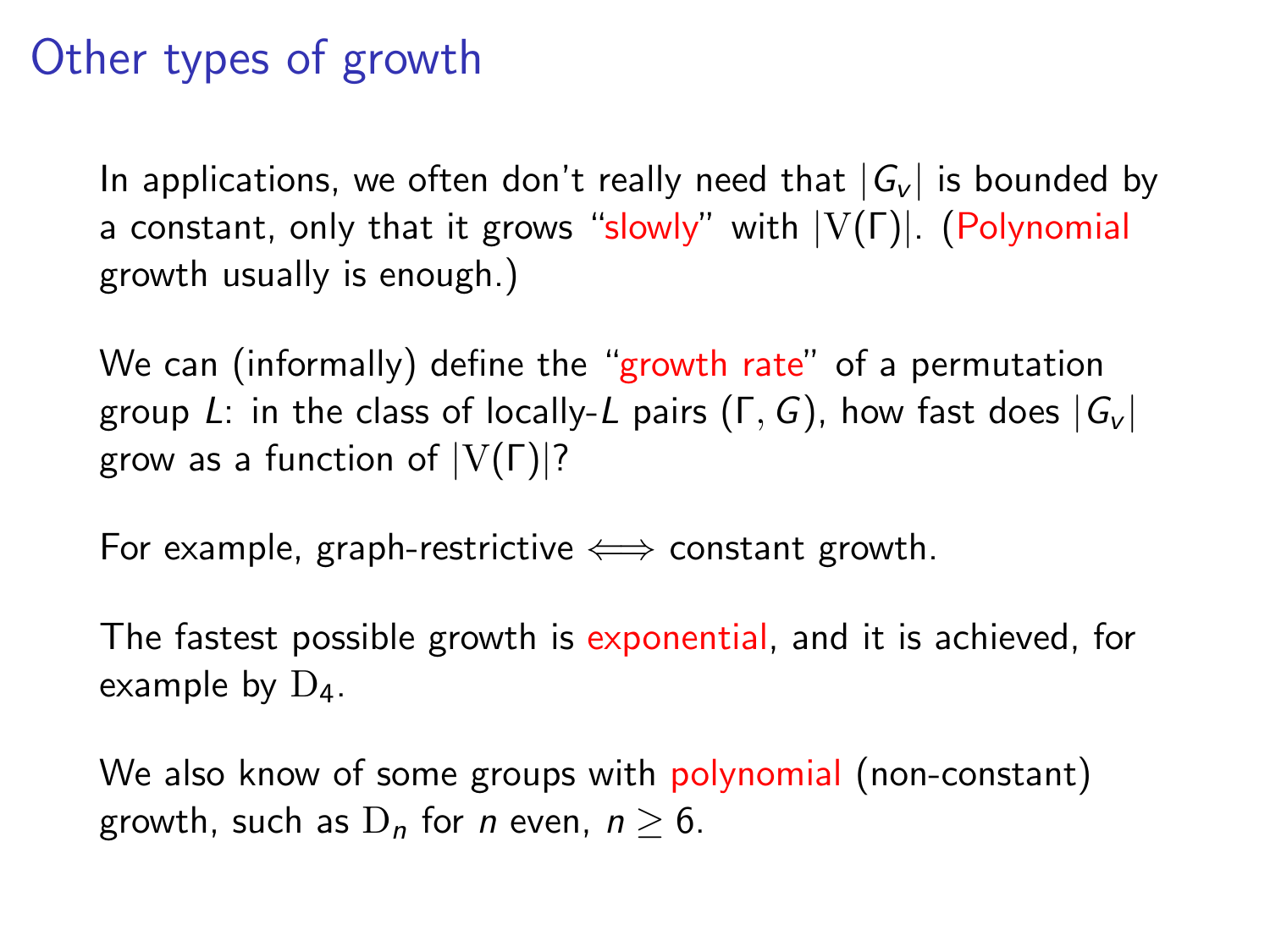In applications, we often don't really need that  $|G_v|$  is bounded by a constant, only that it grows "slowly" with |V(Γ)|. (Polynomial growth usually is enough.)

We can (informally) define the "growth rate" of a permutation group L: in the class of locally-L pairs  $(\Gamma, G)$ , how fast does  $|G_v|$ grow as a function of  $|V(\Gamma)|$ ?

For example, graph-restrictive  $\iff$  constant growth.

The fastest possible growth is exponential, and it is achieved, for example by  $D_4$ .

We also know of some groups with polynomial (non-constant) growth, such as  $D_n$  for *n* even,  $n \geq 6$ .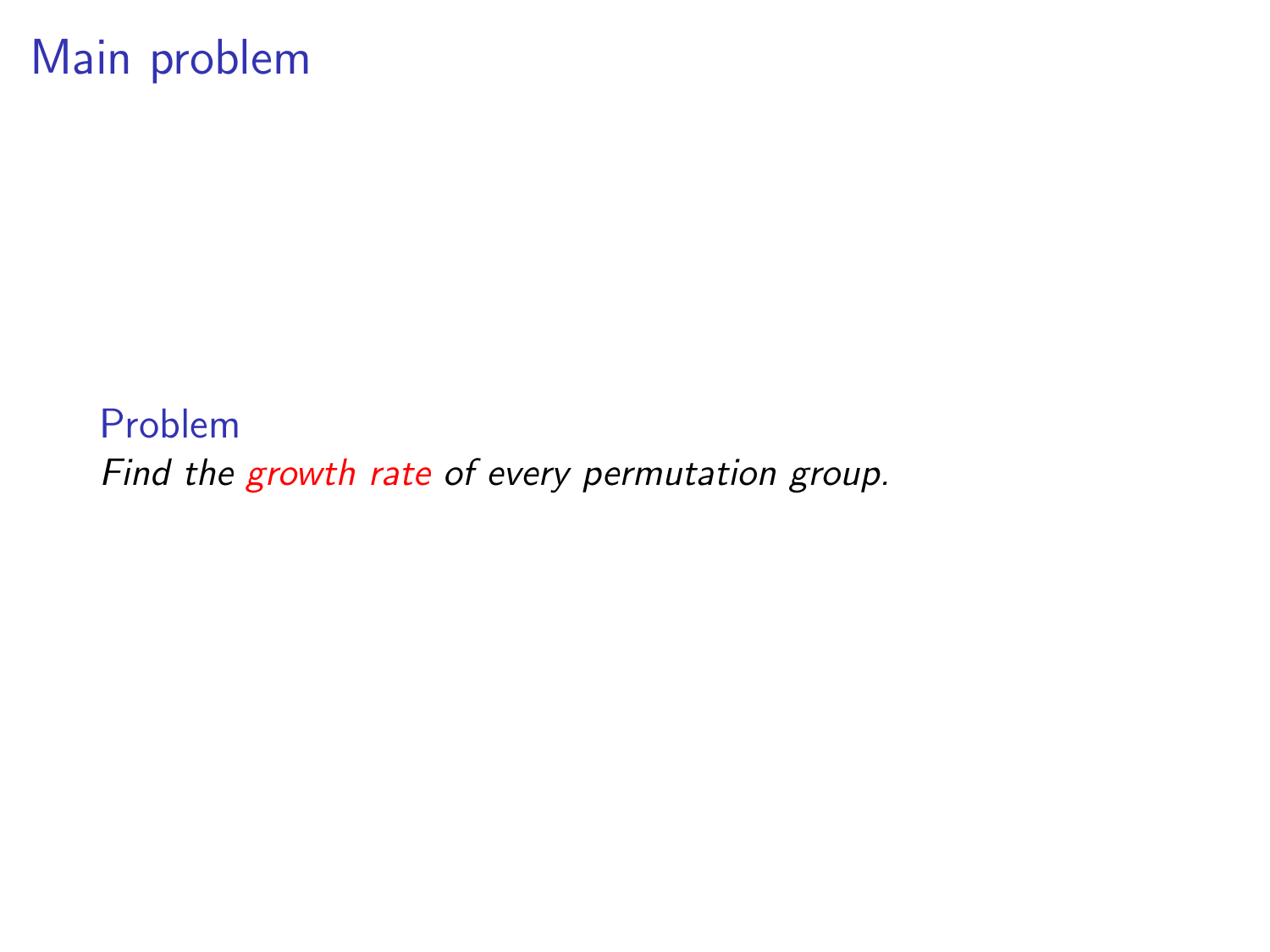### Main problem

Problem Find the growth rate of every permutation group.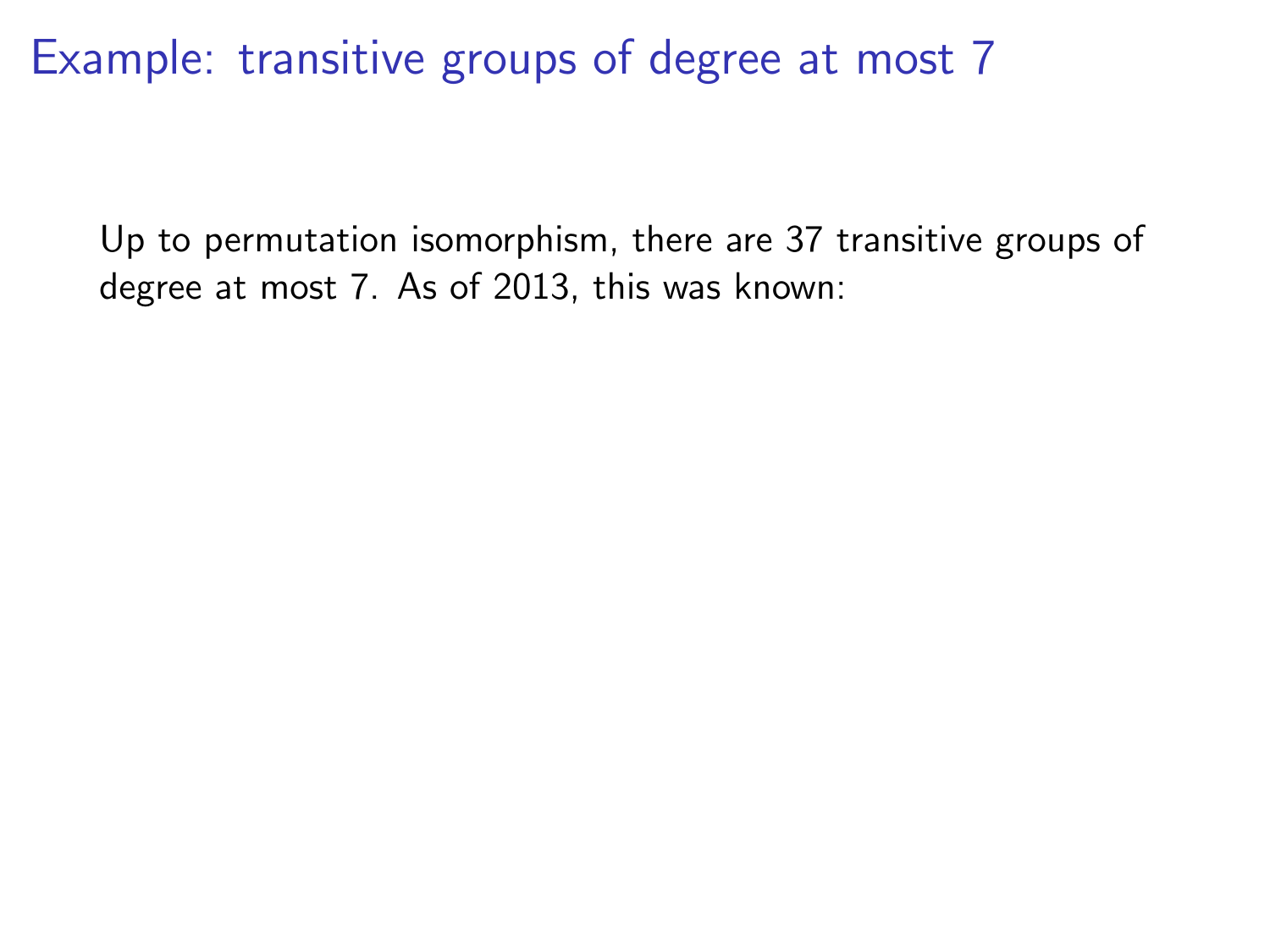Up to permutation isomorphism, there are 37 transitive groups of degree at most 7. As of 2013, this was known: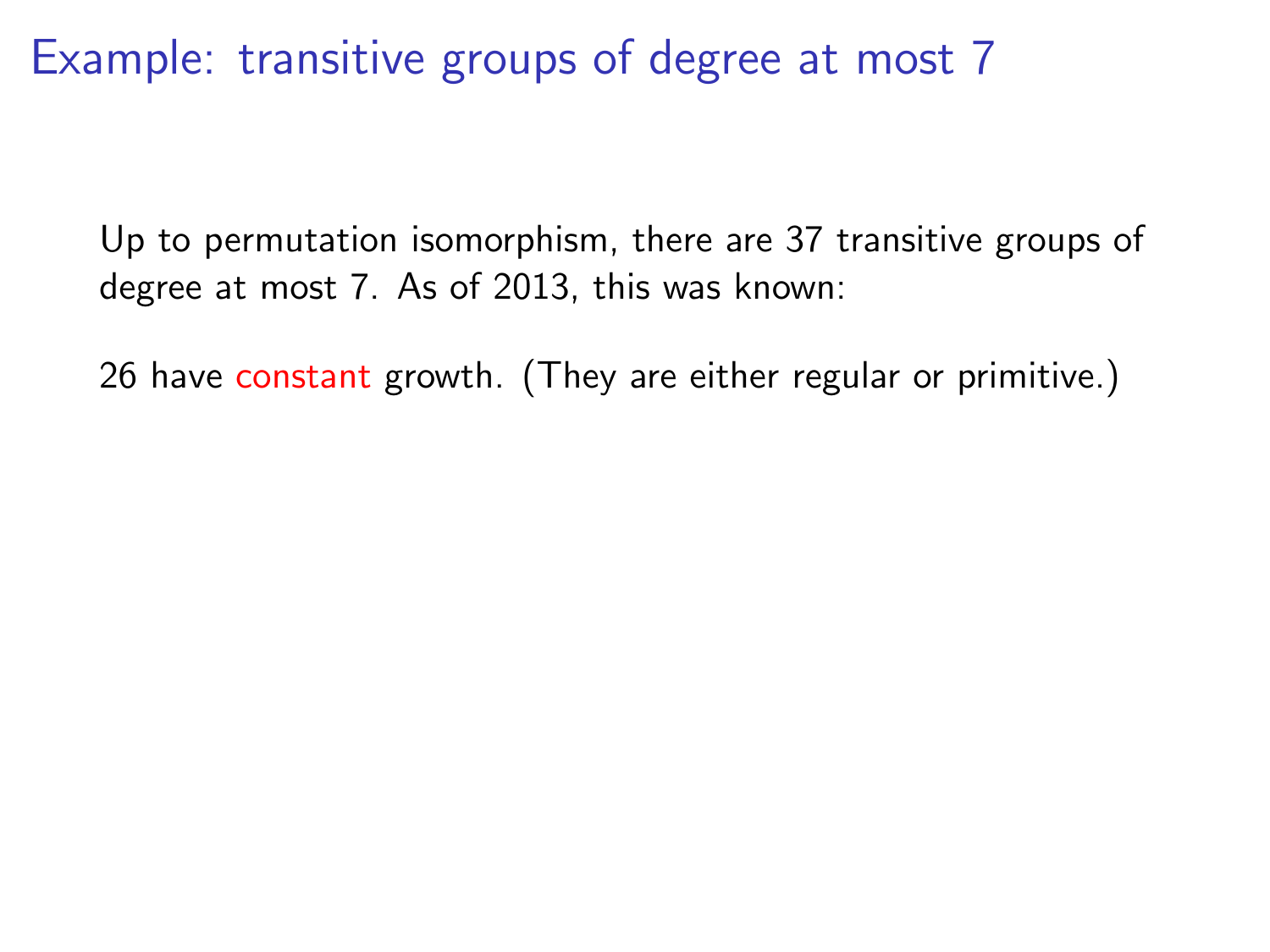Up to permutation isomorphism, there are 37 transitive groups of degree at most 7. As of 2013, this was known:

26 have constant growth. (They are either regular or primitive.)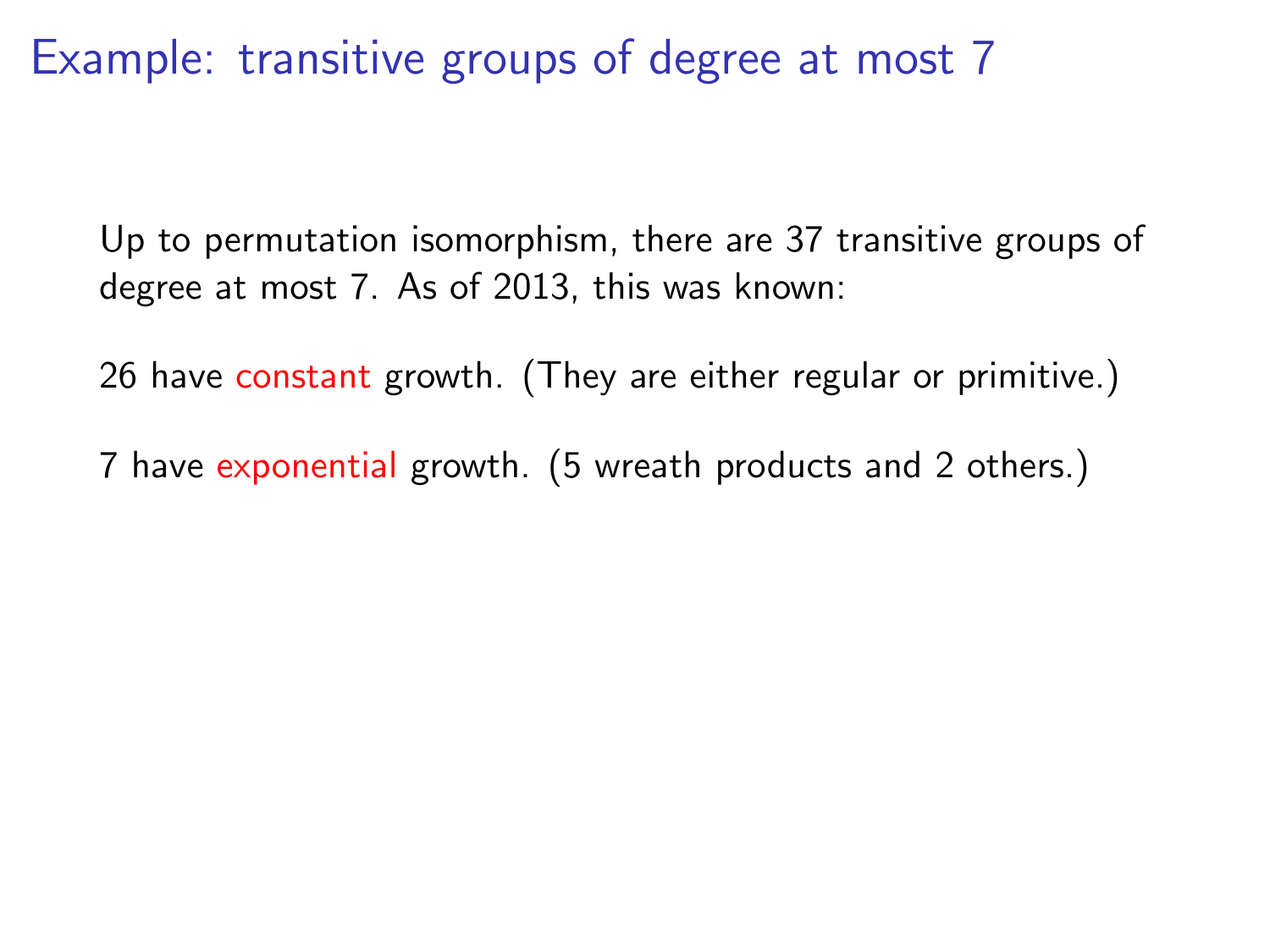Up to permutation isomorphism, there are 37 transitive groups of degree at most 7. As of 2013, this was known:

26 have constant growth. (They are either regular or primitive.)

7 have exponential growth. (5 wreath products and 2 others.)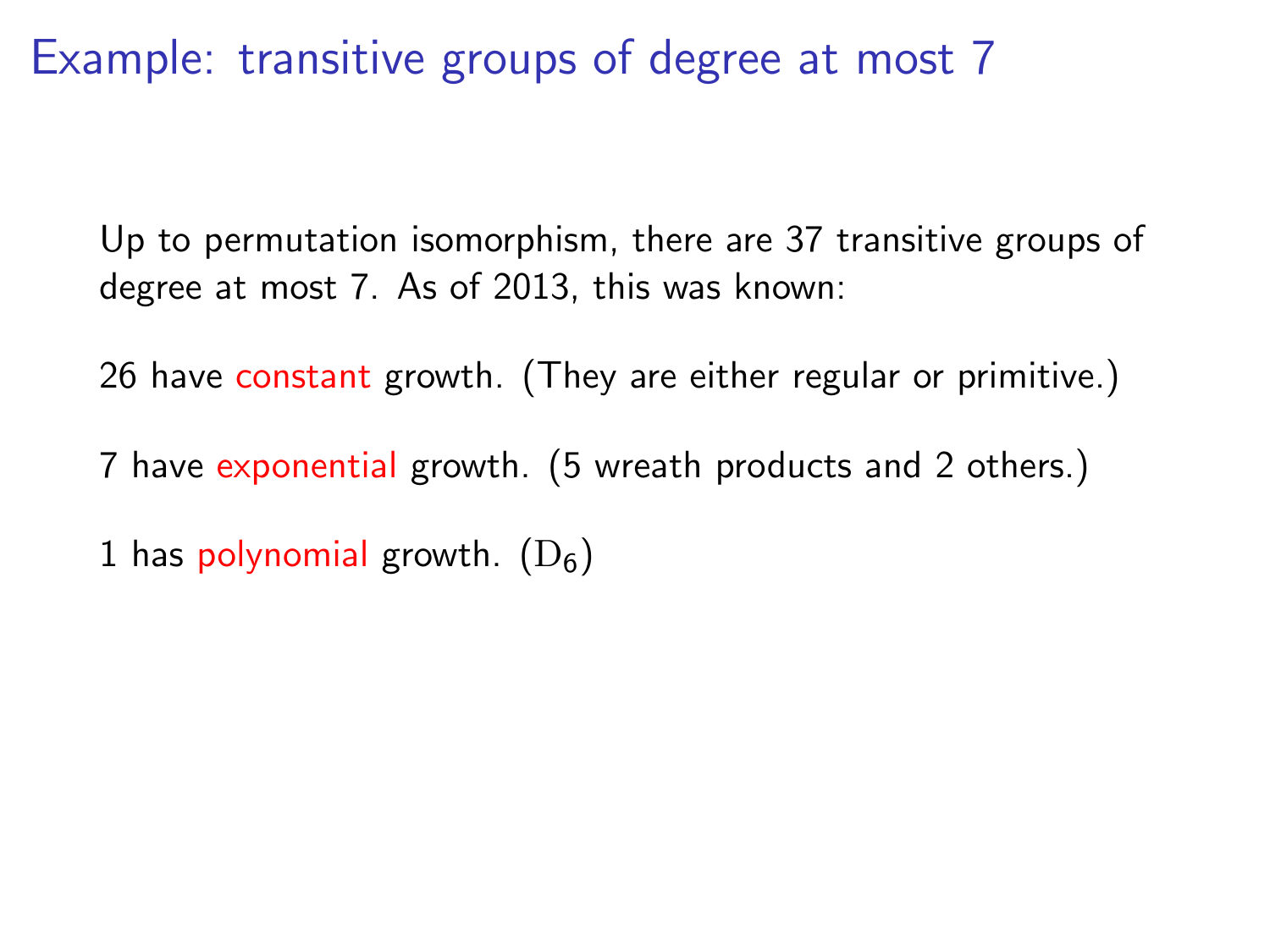Up to permutation isomorphism, there are 37 transitive groups of degree at most 7. As of 2013, this was known:

26 have constant growth. (They are either regular or primitive.)

7 have exponential growth. (5 wreath products and 2 others.)

1 has polynomial growth.  $(D_6)$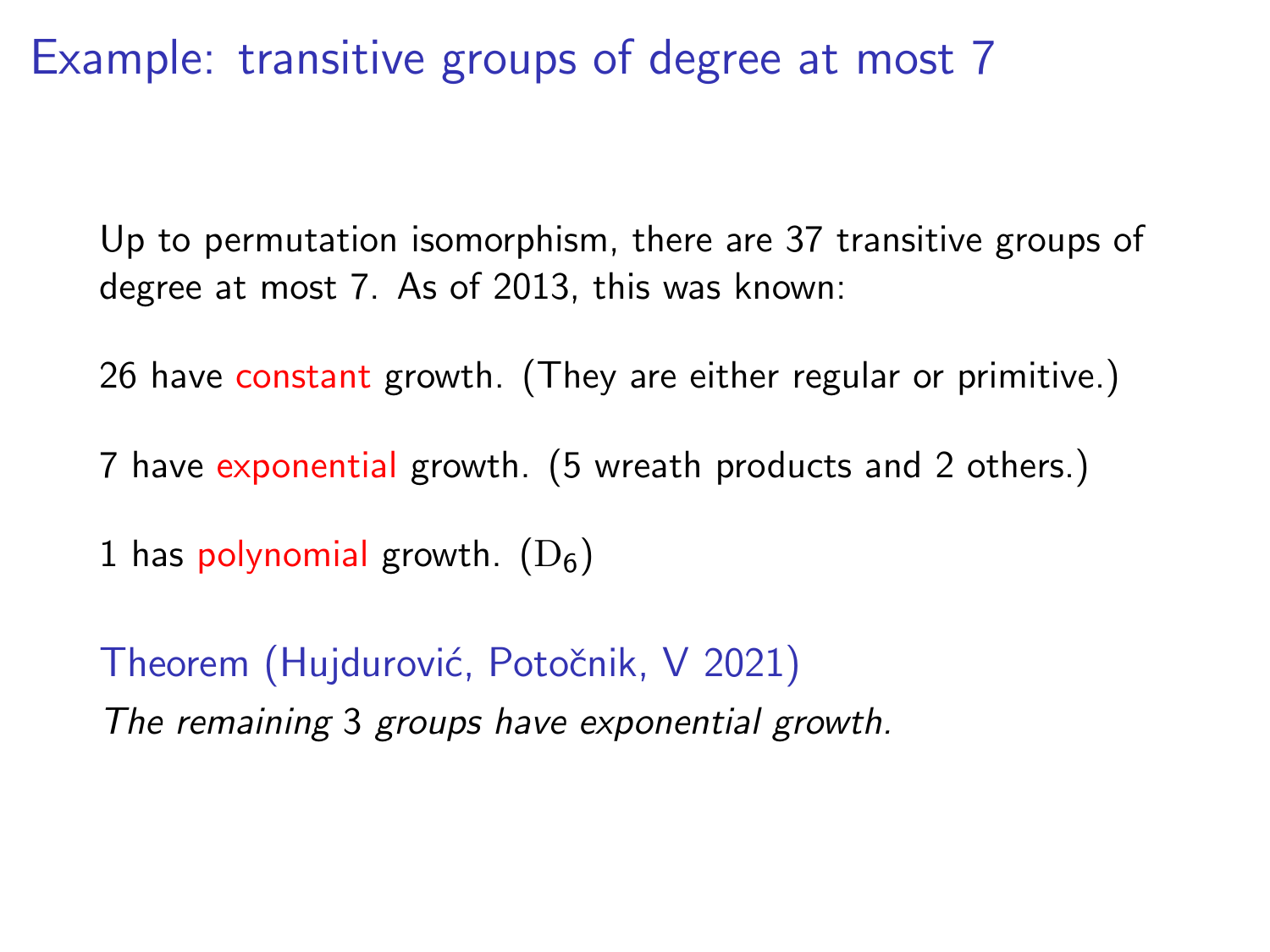Up to permutation isomorphism, there are 37 transitive groups of degree at most 7. As of 2013, this was known:

26 have constant growth. (They are either regular or primitive.)

7 have exponential growth. (5 wreath products and 2 others.)

1 has polynomial growth.  $(D_6)$ 

Theorem (Hujdurović, Potočnik, V 2021) The remaining 3 groups have exponential growth.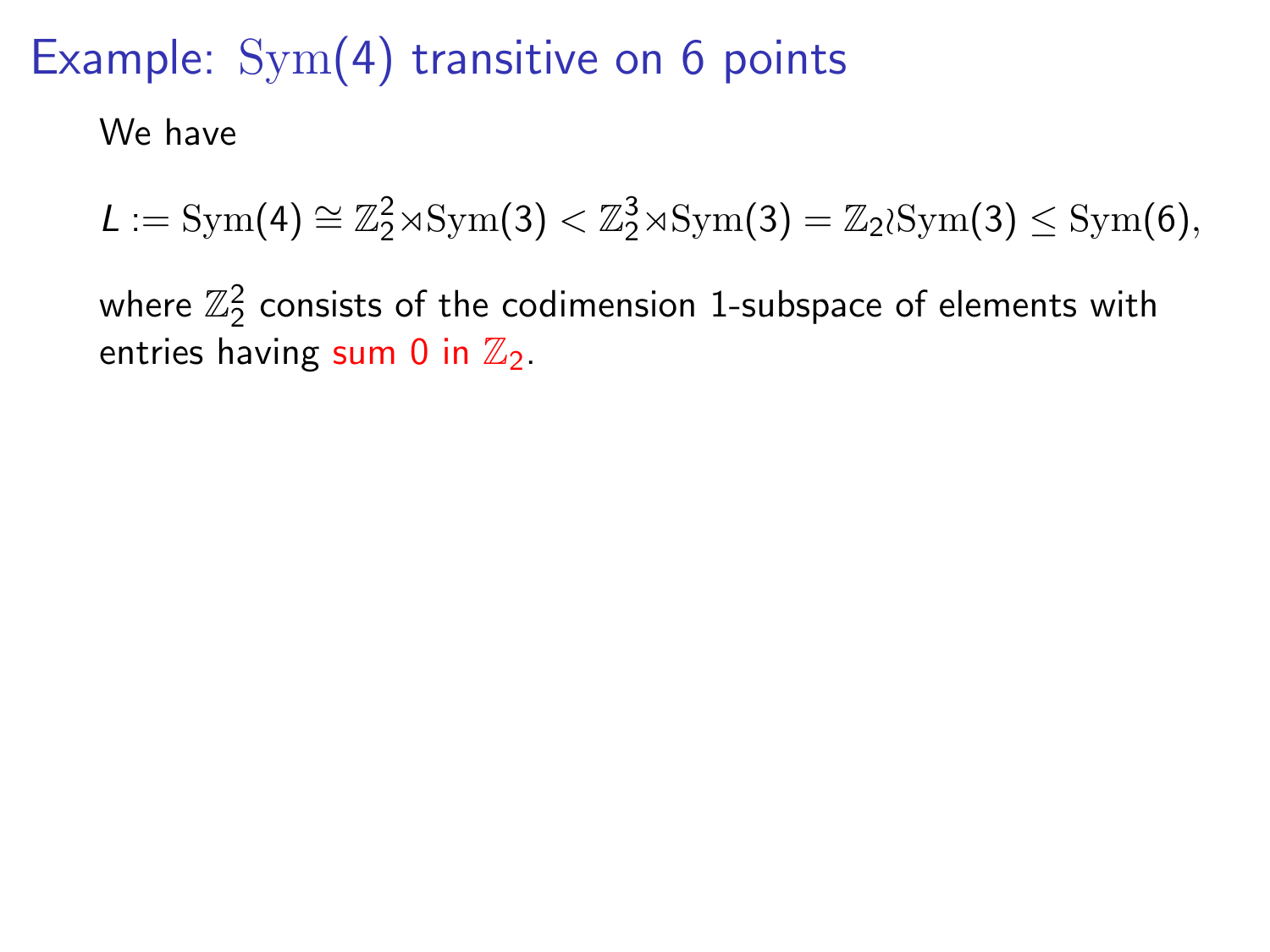We have

 $L := \text{Sym}(4) \cong \mathbb{Z}_2^2 \rtimes \text{Sym}(3) < \mathbb{Z}_2^3 \rtimes \text{Sym}(3) = \mathbb{Z}_2 \wr \text{Sym}(3) \leq \text{Sym}(6),$ 

where  $\mathbb{Z}_2^2$  consists of the codimension 1-subspace of elements with entries having sum 0 in  $\mathbb{Z}_2$ .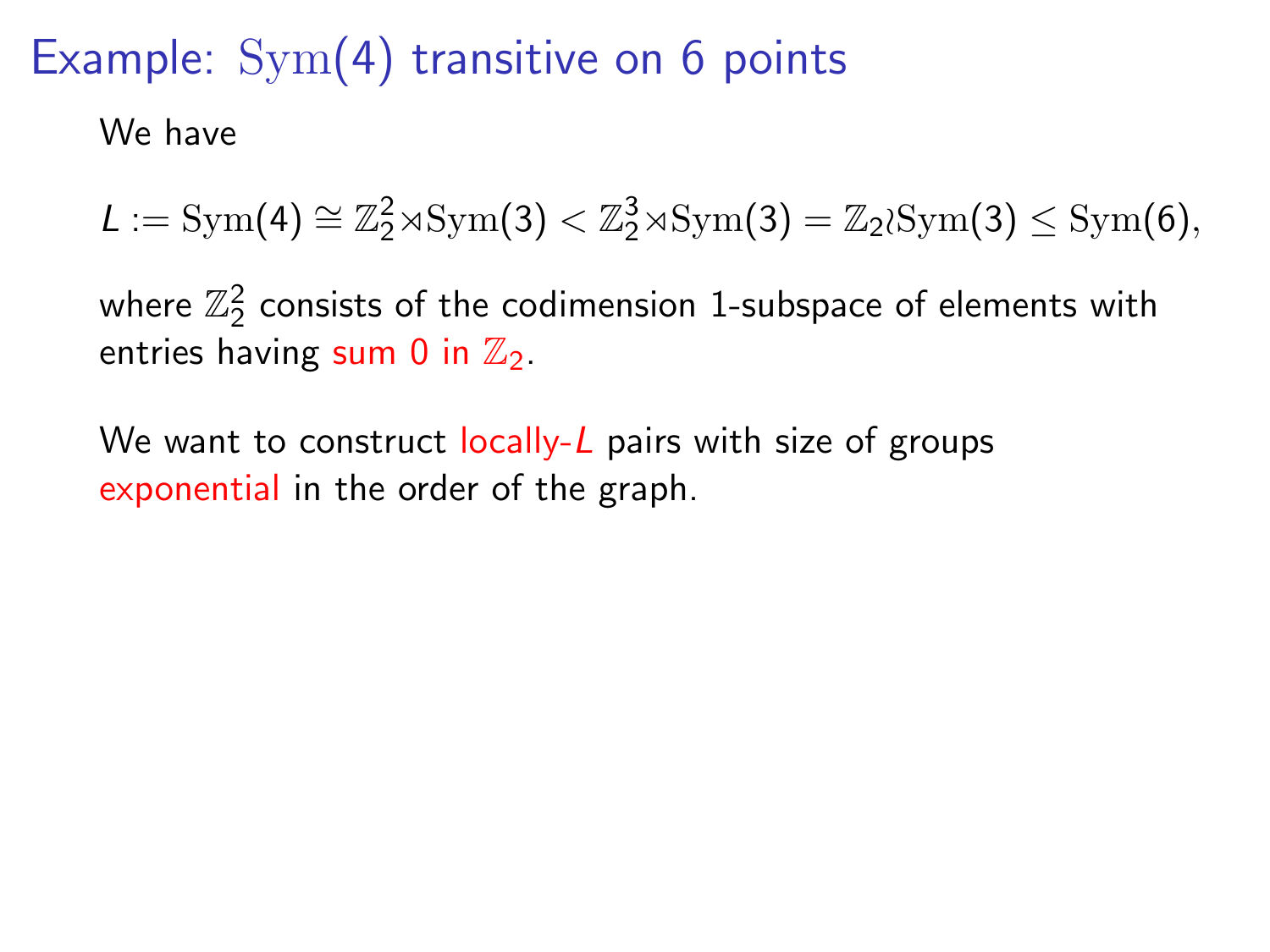We have

 $L := \text{Sym}(4) \cong \mathbb{Z}_2^2 \rtimes \text{Sym}(3) < \mathbb{Z}_2^3 \rtimes \text{Sym}(3) = \mathbb{Z}_2 \wr \text{Sym}(3) \leq \text{Sym}(6),$ 

where  $\mathbb{Z}_2^2$  consists of the codimension 1-subspace of elements with entries having sum 0 in  $\mathbb{Z}_2$ .

We want to construct  $locally-L$  pairs with size of groups exponential in the order of the graph.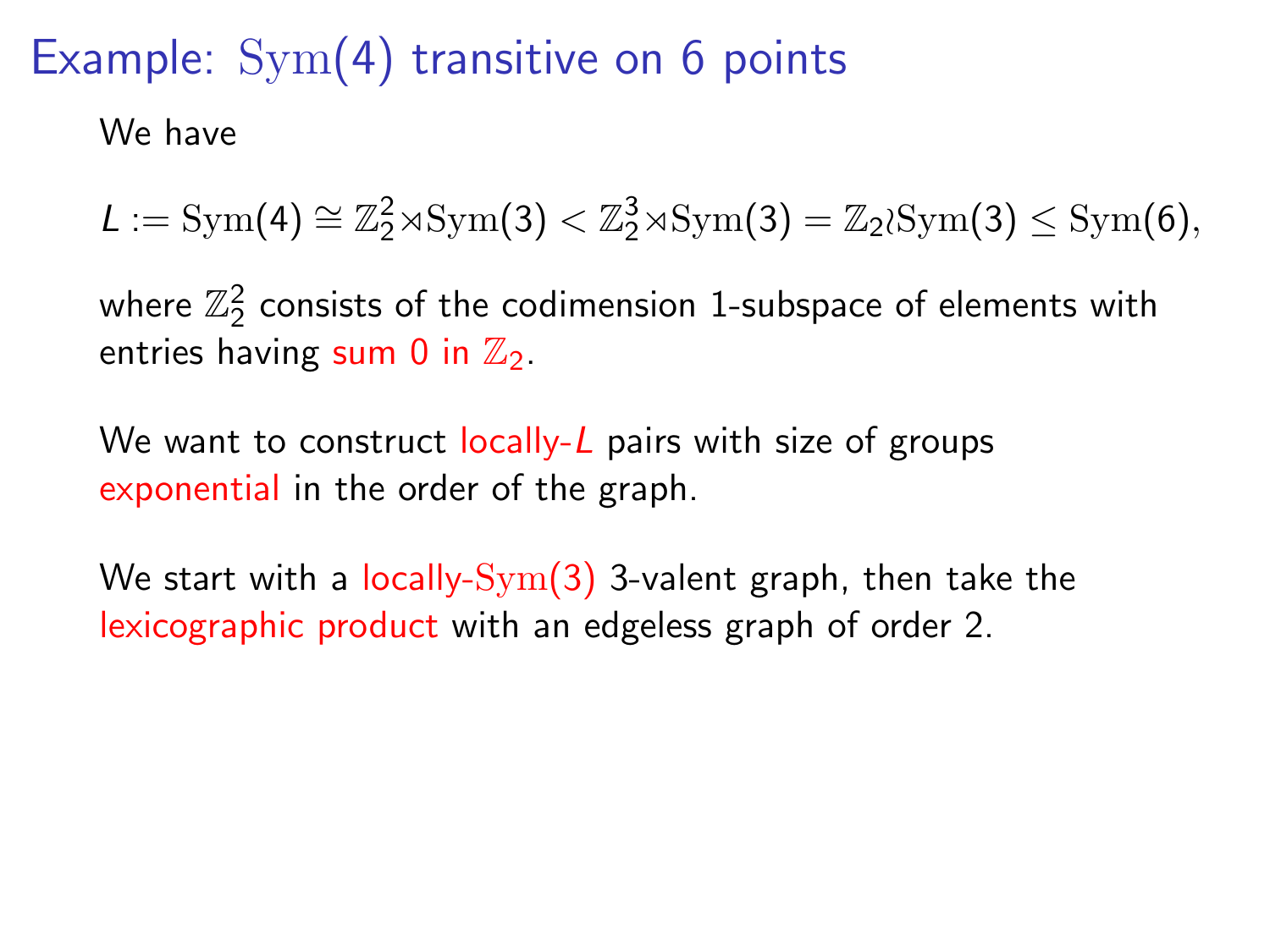We have

 $L := \text{Sym}(4) \cong \mathbb{Z}_2^2 \rtimes \text{Sym}(3) < \mathbb{Z}_2^3 \rtimes \text{Sym}(3) = \mathbb{Z}_2 \wr \text{Sym}(3) \leq \text{Sym}(6),$ 

where  $\mathbb{Z}_2^2$  consists of the codimension 1-subspace of elements with entries having sum 0 in  $\mathbb{Z}_2$ .

We want to construct  $locally-L$  pairs with size of groups exponential in the order of the graph.

We start with a locally- $Sym(3)$  3-valent graph, then take the lexicographic product with an edgeless graph of order 2.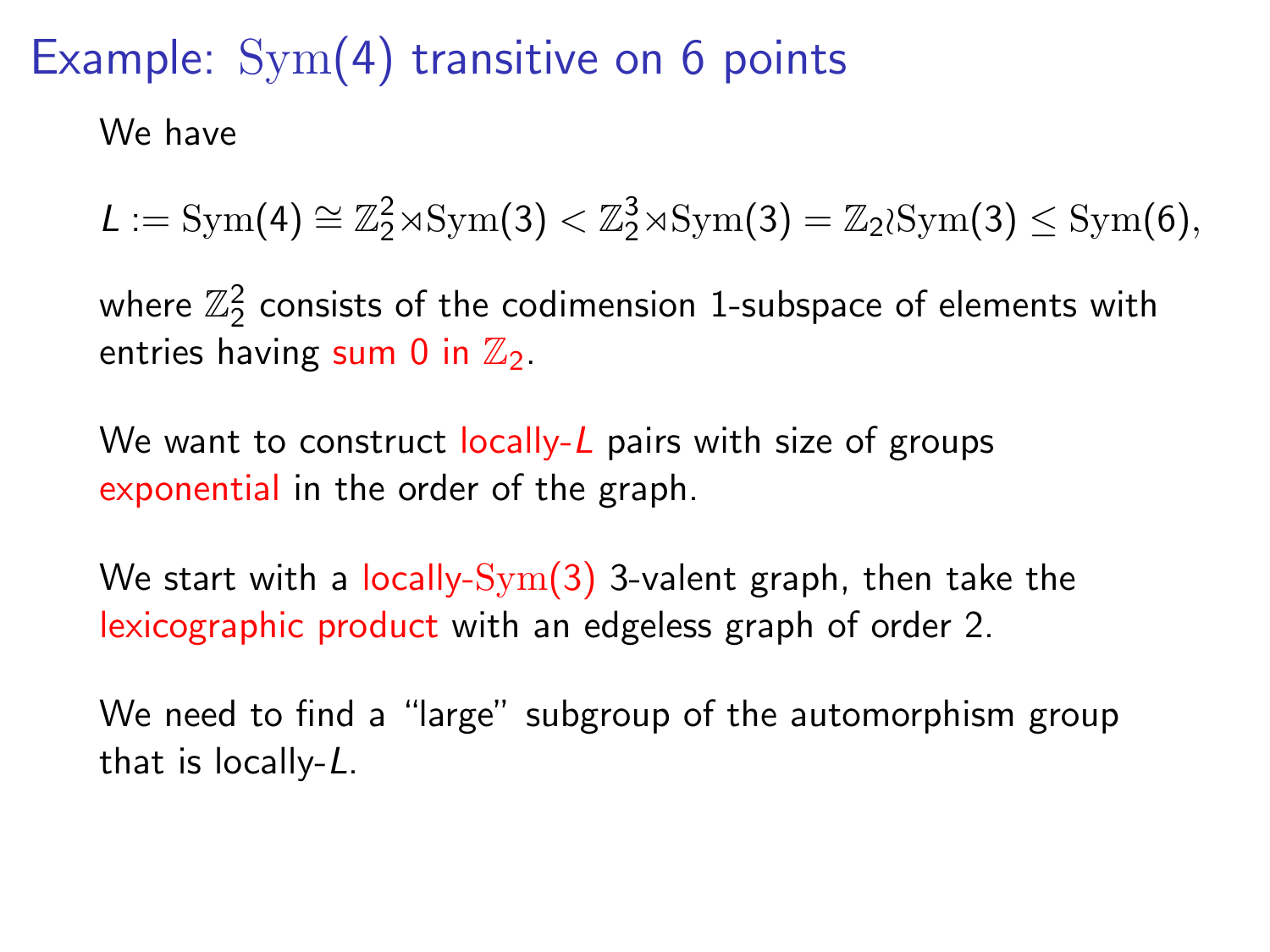We have

 $L := \text{Sym}(4) \cong \mathbb{Z}_2^2 \rtimes \text{Sym}(3) < \mathbb{Z}_2^3 \rtimes \text{Sym}(3) = \mathbb{Z}_2 \wr \text{Sym}(3) \leq \text{Sym}(6),$ 

where  $\mathbb{Z}_2^2$  consists of the codimension 1-subspace of elements with entries having sum 0 in  $\mathbb{Z}_2$ .

We want to construct  $locally-L$  pairs with size of groups exponential in the order of the graph.

We start with a locally- $\text{Sym}(3)$  3-valent graph, then take the lexicographic product with an edgeless graph of order 2.

We need to find a "large" subgroup of the automorphism group that is locally-L.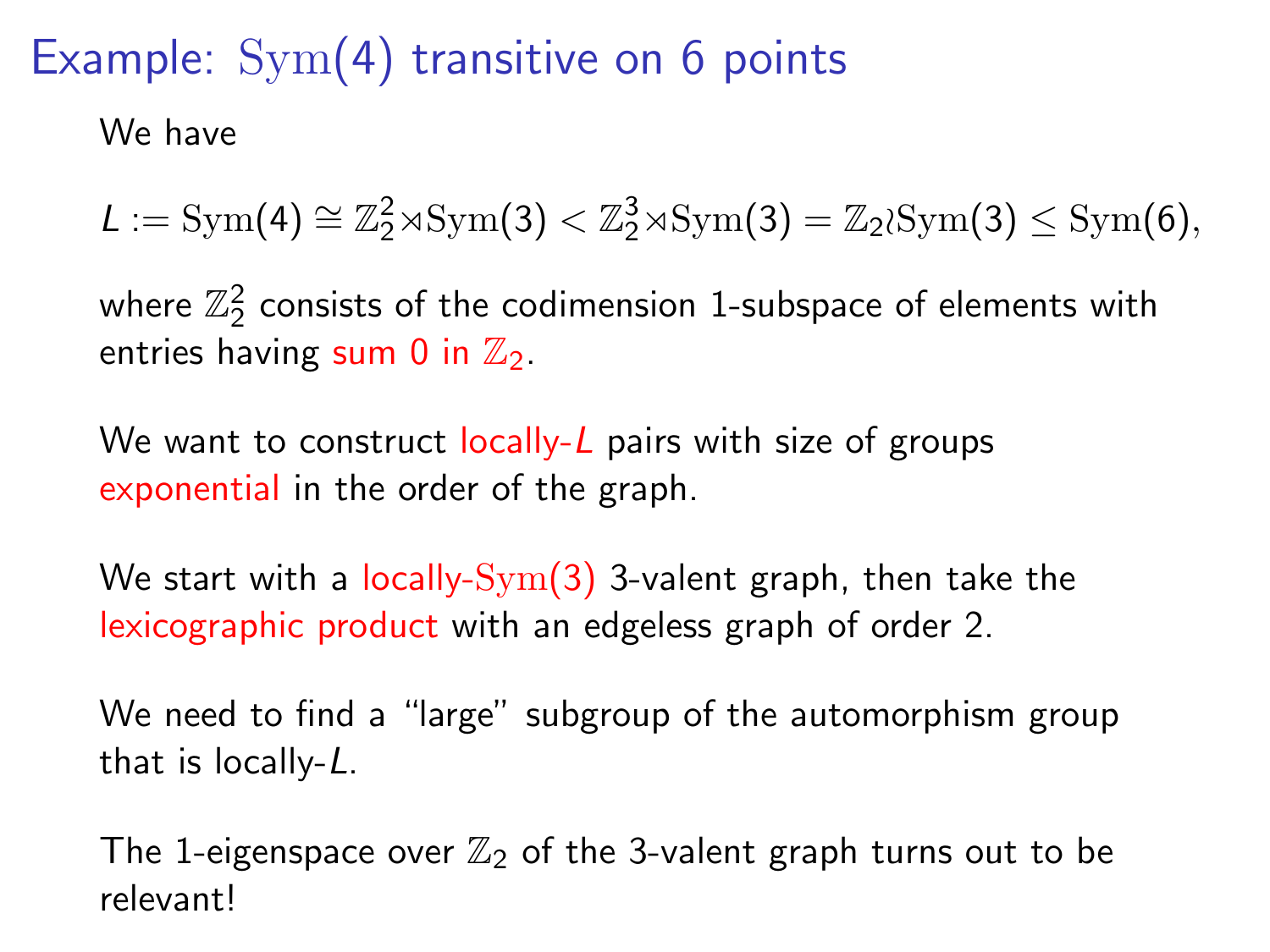We have

 $L := \text{Sym}(4) \cong \mathbb{Z}_2^2 \rtimes \text{Sym}(3) < \mathbb{Z}_2^3 \rtimes \text{Sym}(3) = \mathbb{Z}_2 \wr \text{Sym}(3) \leq \text{Sym}(6),$ 

where  $\mathbb{Z}_2^2$  consists of the codimension 1-subspace of elements with entries having sum 0 in  $\mathbb{Z}_2$ .

We want to construct  $locally-L$  pairs with size of groups exponential in the order of the graph.

We start with a locally- $\text{Sym}(3)$  3-valent graph, then take the lexicographic product with an edgeless graph of order 2.

We need to find a "large" subgroup of the automorphism group that is locally-L.

The 1-eigenspace over  $\mathbb{Z}_2$  of the 3-valent graph turns out to be relevant!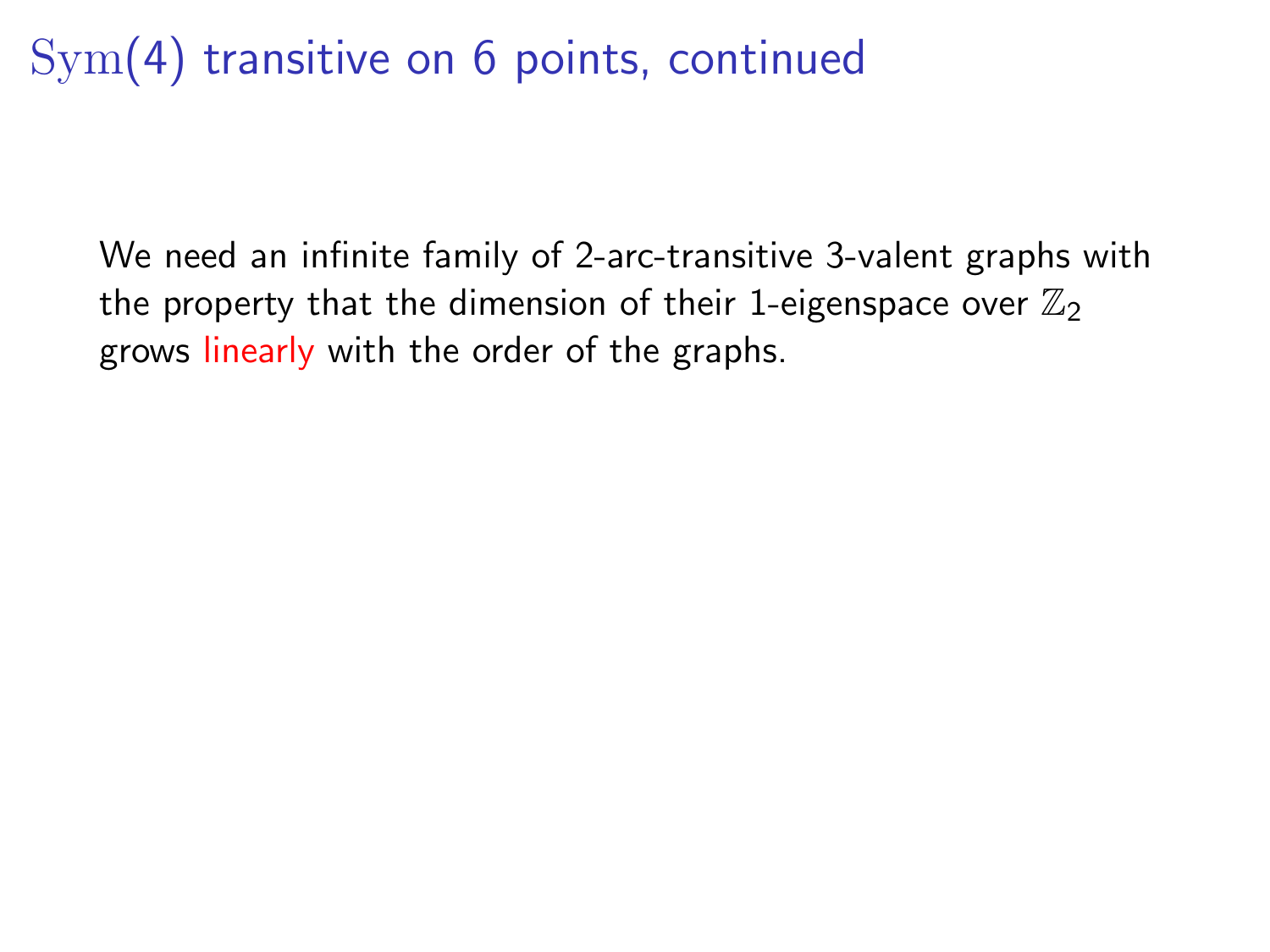# Sym(4) transitive on 6 points, continued

We need an infinite family of 2-arc-transitive 3-valent graphs with the property that the dimension of their 1-eigenspace over  $\mathbb{Z}_2$ grows linearly with the order of the graphs.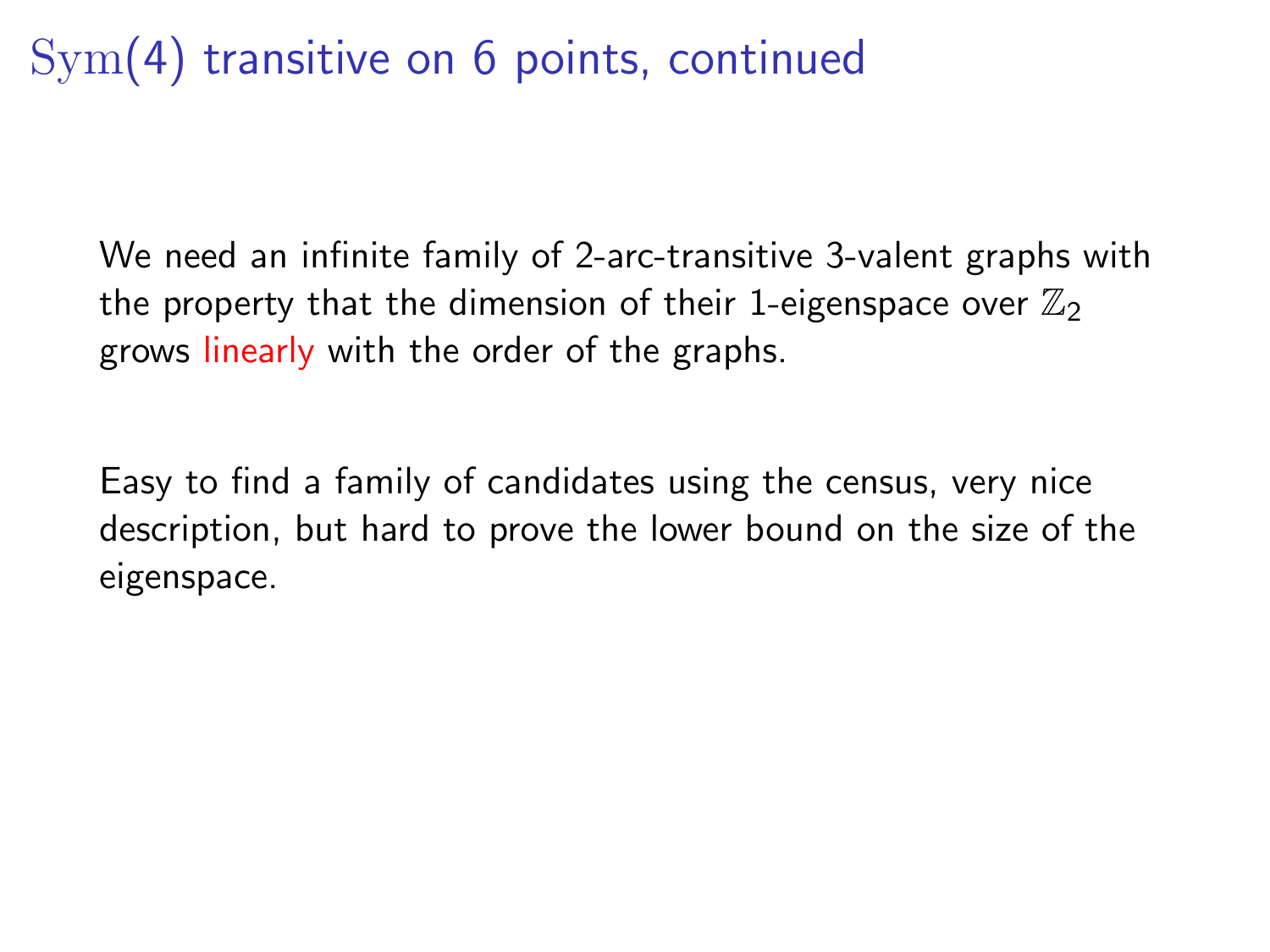# Sym(4) transitive on 6 points, continued

We need an infinite family of 2-arc-transitive 3-valent graphs with the property that the dimension of their 1-eigenspace over  $\mathbb{Z}_2$ grows linearly with the order of the graphs.

Easy to find a family of candidates using the census, very nice description, but hard to prove the lower bound on the size of the eigenspace.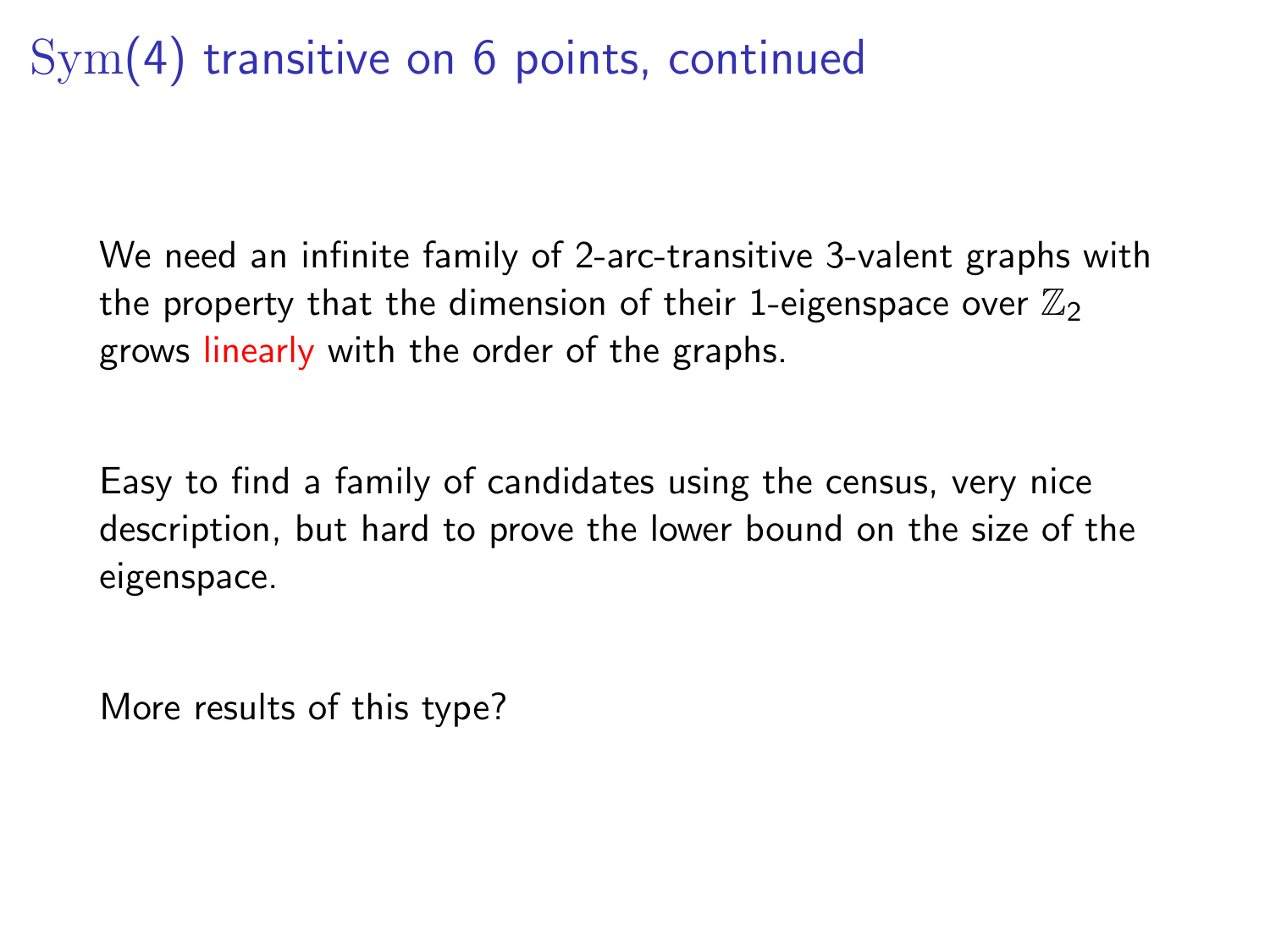# Sym(4) transitive on 6 points, continued

We need an infinite family of 2-arc-transitive 3-valent graphs with the property that the dimension of their 1-eigenspace over  $\mathbb{Z}_2$ grows linearly with the order of the graphs.

Easy to find a family of candidates using the census, very nice description, but hard to prove the lower bound on the size of the eigenspace.

More results of this type?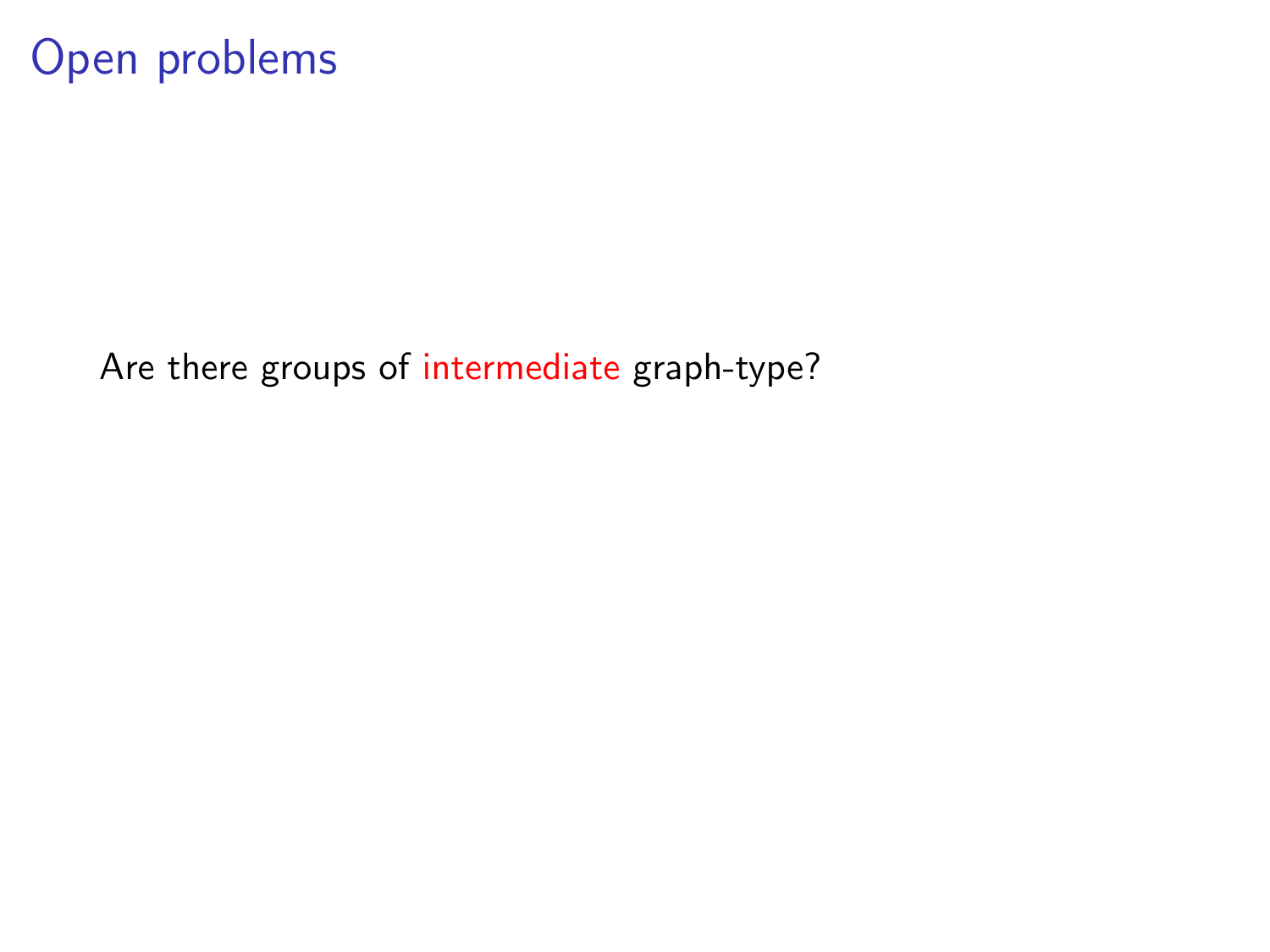### Open problems

Are there groups of intermediate graph-type?